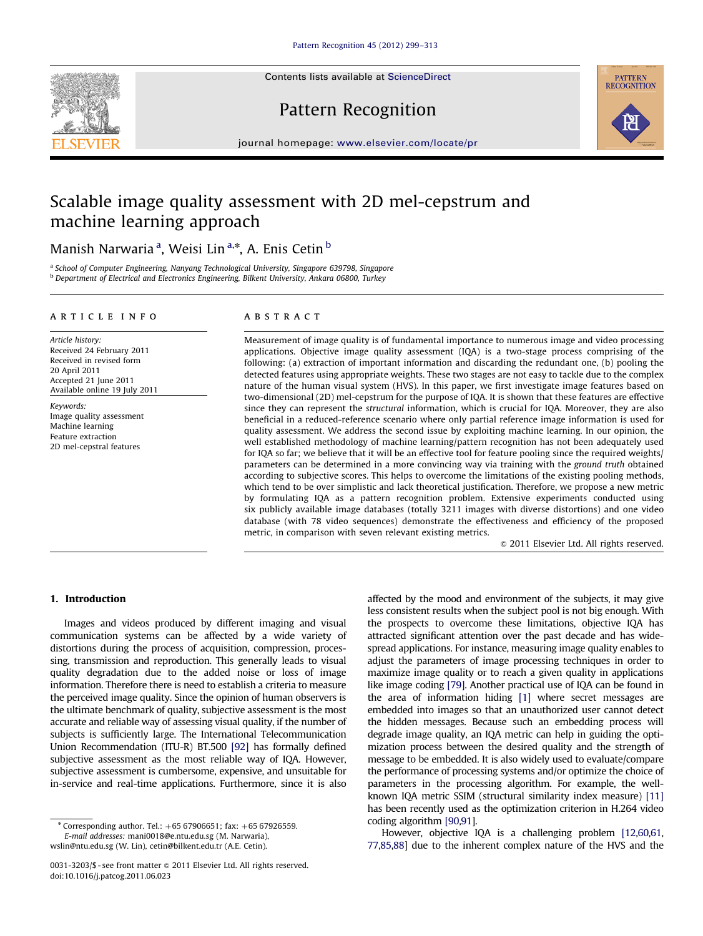

Contents lists available at ScienceDirect

## Pattern Recognition



journal homepage: www.elsevier.com/locate/pr

# Scalable image quality assessment with 2D mel-cepstrum and machine learning approach

## Manish Narwaria <sup>a</sup>, Weisi Lin <sup>a,</sup>\*, A. Enis Cetin <sup>b</sup>

a *School of Computer Engineering, Nanyang Technological University, Singapore 639798, Singapore* <sup>b</sup> *Department of Electrical and Electronics Engineering, Bilkent University, Ankara 06800, Turkey*

## article info

*Article history:* Received 24 February 2011 Received in revised form 20 April 2011 Accepted 21 June 2011 Available online 19 July 2011

*Keywords:* Image quality assessment Machine learning Feature extraction 2D mel-cepstral features

## **ABSTRACT**

Measurement of image quality is of fundamental importance to numerous image and video processing applications. Objective image quality assessment (IQA) is a two-stage process comprising of the following: (a) extraction of important information and discarding the redundant one, (b) pooling the detected features using appropriate weights. These two stages are not easy to tackle due to the complex nature of the human visual system (HVS). In this paper, we first investigate image features based on two-dimensional (2D) mel-cepstrum for the purpose of IQA. It is shown that these features are effective since they can represent the *structural* information, which is crucial for IQA. Moreover, they are also beneficial in a reduced-reference scenario where only partial reference image information is used for quality assessment. We address the second issue by exploiting machine learning. In our opinion, the well established methodology of machine learning/pattern recognition has not been adequately used for IQA so far; we believe that it will be an effective tool for feature pooling since the required weights/ parameters can be determined in a more convincing way via training with the *ground truth* obtained according to subjective scores. This helps to overcome the limitations of the existing pooling methods, which tend to be over simplistic and lack theoretical justification. Therefore, we propose a new metric by formulating IQA as a pattern recognition problem. Extensive experiments conducted using six publicly available image databases (totally 3211 images with diverse distortions) and one video database (with 78 video sequences) demonstrate the effectiveness and efficiency of the proposed metric, in comparison with seven relevant existing metrics.

 $@$  2011 Elsevier Ltd. All rights reserved.

## 1. Introduction

Images and videos produced by different imaging and visual communication systems can be affected by a wide variety of distortions during the process of acquisition, compression, processing, transmission and reproduction. This generally leads to visual quality degradation due to the added noise or loss of image information. Therefore there is need to establish a criteria to measure the perceived image quality. Since the opinion of human observers is the ultimate benchmark of quality, subjective assessment is the most accurate and reliable way of assessing visual quality, if the number of subjects is sufficiently large. The International Telecommunication Union Recommendation (ITU-R) BT.500 [92] has formally defined subjective assessment as the most reliable way of IQA. However, subjective assessment is cumbersome, expensive, and unsuitable for in-service and real-time applications. Furthermore, since it is also

affected by the mood and environment of the subjects, it may give less consistent results when the subject pool is not big enough. With the prospects to overcome these limitations, objective IQA has attracted significant attention over the past decade and has widespread applications. For instance, measuring image quality enables to adjust the parameters of image processing techniques in order to maximize image quality or to reach a given quality in applications like image coding [79]. Another practical use of IQA can be found in the area of information hiding [1] where secret messages are embedded into images so that an unauthorized user cannot detect the hidden messages. Because such an embedding process will degrade image quality, an IQA metric can help in guiding the optimization process between the desired quality and the strength of message to be embedded. It is also widely used to evaluate/compare the performance of processing systems and/or optimize the choice of parameters in the processing algorithm. For example, the wellknown IQA metric SSIM (structural similarity index measure) [11] has been recently used as the optimization criterion in H.264 video coding algorithm [90,91].

However, objective IQA is a challenging problem [12,60,61, 77,85,88] due to the inherent complex nature of the HVS and the

 $*$  Corresponding author. Tel.:  $+6567906651$ ; fax:  $+6567926559$ . *E-mail addresses:* mani0018@e.ntu.edu.sg (M. Narwaria), wslin@ntu.edu.sg (W. Lin), cetin@bilkent.edu.tr (A.E. Cetin).

<sup>0031-3203/\$ -</sup> see front matter  $\circ$  2011 Elsevier Ltd. All rights reserved. doi:10.1016/j.patcog.2011.06.023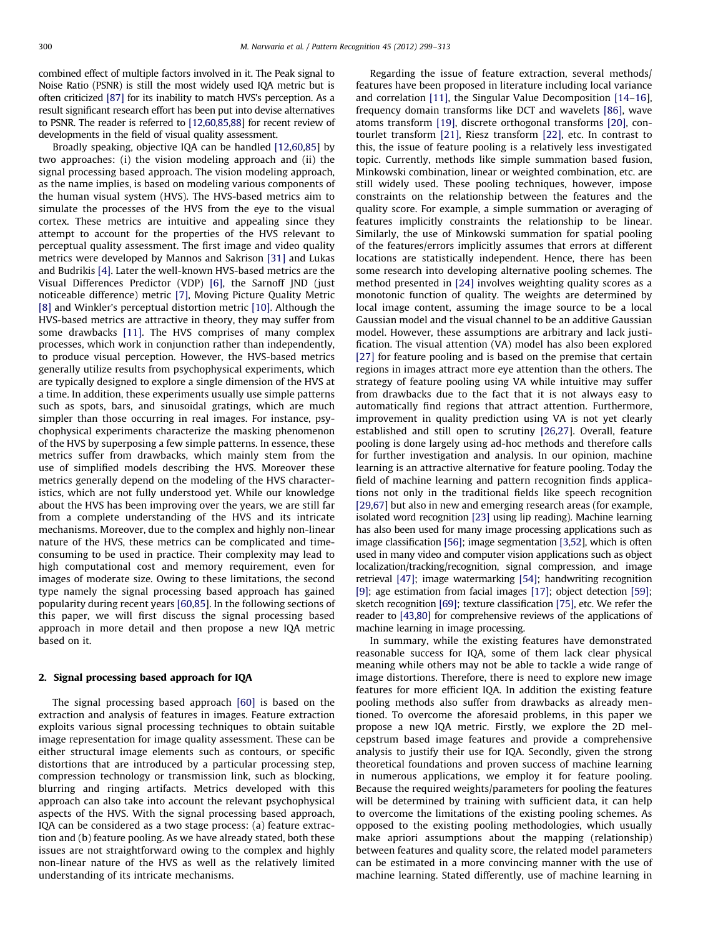combined effect of multiple factors involved in it. The Peak signal to Noise Ratio (PSNR) is still the most widely used IQA metric but is often criticized [87] for its inability to match HVS's perception. As a result significant research effort has been put into devise alternatives to PSNR. The reader is referred to [12,60,85,88] for recent review of developments in the field of visual quality assessment.

Broadly speaking, objective IQA can be handled [12,60,85] by two approaches: (i) the vision modeling approach and (ii) the signal processing based approach. The vision modeling approach, as the name implies, is based on modeling various components of the human visual system (HVS). The HVS-based metrics aim to simulate the processes of the HVS from the eye to the visual cortex. These metrics are intuitive and appealing since they attempt to account for the properties of the HVS relevant to perceptual quality assessment. The first image and video quality metrics were developed by Mannos and Sakrison [31] and Lukas and Budrikis [4]. Later the well-known HVS-based metrics are the Visual Differences Predictor (VDP) [6], the Sarnoff JND (just noticeable difference) metric [7], Moving Picture Quality Metric [8] and Winkler's perceptual distortion metric [10]. Although the HVS-based metrics are attractive in theory, they may suffer from some drawbacks [11]. The HVS comprises of many complex processes, which work in conjunction rather than independently, to produce visual perception. However, the HVS-based metrics generally utilize results from psychophysical experiments, which are typically designed to explore a single dimension of the HVS at a time. In addition, these experiments usually use simple patterns such as spots, bars, and sinusoidal gratings, which are much simpler than those occurring in real images. For instance, psychophysical experiments characterize the masking phenomenon of the HVS by superposing a few simple patterns. In essence, these metrics suffer from drawbacks, which mainly stem from the use of simplified models describing the HVS. Moreover these metrics generally depend on the modeling of the HVS characteristics, which are not fully understood yet. While our knowledge about the HVS has been improving over the years, we are still far from a complete understanding of the HVS and its intricate mechanisms. Moreover, due to the complex and highly non-linear nature of the HVS, these metrics can be complicated and timeconsuming to be used in practice. Their complexity may lead to high computational cost and memory requirement, even for images of moderate size. Owing to these limitations, the second type namely the signal processing based approach has gained popularity during recent years [60,85]. In the following sections of this paper, we will first discuss the signal processing based approach in more detail and then propose a new IQA metric based on it.

#### 2. Signal processing based approach for IQA

The signal processing based approach [60] is based on the extraction and analysis of features in images. Feature extraction exploits various signal processing techniques to obtain suitable image representation for image quality assessment. These can be either structural image elements such as contours, or specific distortions that are introduced by a particular processing step, compression technology or transmission link, such as blocking, blurring and ringing artifacts. Metrics developed with this approach can also take into account the relevant psychophysical aspects of the HVS. With the signal processing based approach, IQA can be considered as a two stage process: (a) feature extraction and (b) feature pooling. As we have already stated, both these issues are not straightforward owing to the complex and highly non-linear nature of the HVS as well as the relatively limited understanding of its intricate mechanisms.

Regarding the issue of feature extraction, several methods/ features have been proposed in literature including local variance and correlation [11], the Singular Value Decomposition [14–16], frequency domain transforms like DCT and wavelets [86], wave atoms transform [19], discrete orthogonal transforms [20], contourlet transform [21], Riesz transform [22], etc. In contrast to this, the issue of feature pooling is a relatively less investigated topic. Currently, methods like simple summation based fusion, Minkowski combination, linear or weighted combination, etc. are still widely used. These pooling techniques, however, impose constraints on the relationship between the features and the quality score. For example, a simple summation or averaging of features implicitly constraints the relationship to be linear. Similarly, the use of Minkowski summation for spatial pooling of the features/errors implicitly assumes that errors at different locations are statistically independent. Hence, there has been some research into developing alternative pooling schemes. The method presented in [24] involves weighting quality scores as a monotonic function of quality. The weights are determined by local image content, assuming the image source to be a local Gaussian model and the visual channel to be an additive Gaussian model. However, these assumptions are arbitrary and lack justification. The visual attention (VA) model has also been explored [27] for feature pooling and is based on the premise that certain regions in images attract more eye attention than the others. The strategy of feature pooling using VA while intuitive may suffer from drawbacks due to the fact that it is not always easy to automatically find regions that attract attention. Furthermore, improvement in quality prediction using VA is not yet clearly established and still open to scrutiny [26,27]. Overall, feature pooling is done largely using ad-hoc methods and therefore calls for further investigation and analysis. In our opinion, machine learning is an attractive alternative for feature pooling. Today the field of machine learning and pattern recognition finds applications not only in the traditional fields like speech recognition [29,67] but also in new and emerging research areas (for example, isolated word recognition [23] using lip reading). Machine learning has also been used for many image processing applications such as image classification [56]; image segmentation [3,52], which is often used in many video and computer vision applications such as object localization/tracking/recognition, signal compression, and image retrieval [47]; image watermarking [54]; handwriting recognition [9]; age estimation from facial images [17]; object detection [59]; sketch recognition [69]; texture classification [75], etc. We refer the reader to [43,80] for comprehensive reviews of the applications of machine learning in image processing.

In summary, while the existing features have demonstrated reasonable success for IQA, some of them lack clear physical meaning while others may not be able to tackle a wide range of image distortions. Therefore, there is need to explore new image features for more efficient IQA. In addition the existing feature pooling methods also suffer from drawbacks as already mentioned. To overcome the aforesaid problems, in this paper we propose a new IQA metric. Firstly, we explore the 2D melcepstrum based image features and provide a comprehensive analysis to justify their use for IQA. Secondly, given the strong theoretical foundations and proven success of machine learning in numerous applications, we employ it for feature pooling. Because the required weights/parameters for pooling the features will be determined by training with sufficient data, it can help to overcome the limitations of the existing pooling schemes. As opposed to the existing pooling methodologies, which usually make apriori assumptions about the mapping (relationship) between features and quality score, the related model parameters can be estimated in a more convincing manner with the use of machine learning. Stated differently, use of machine learning in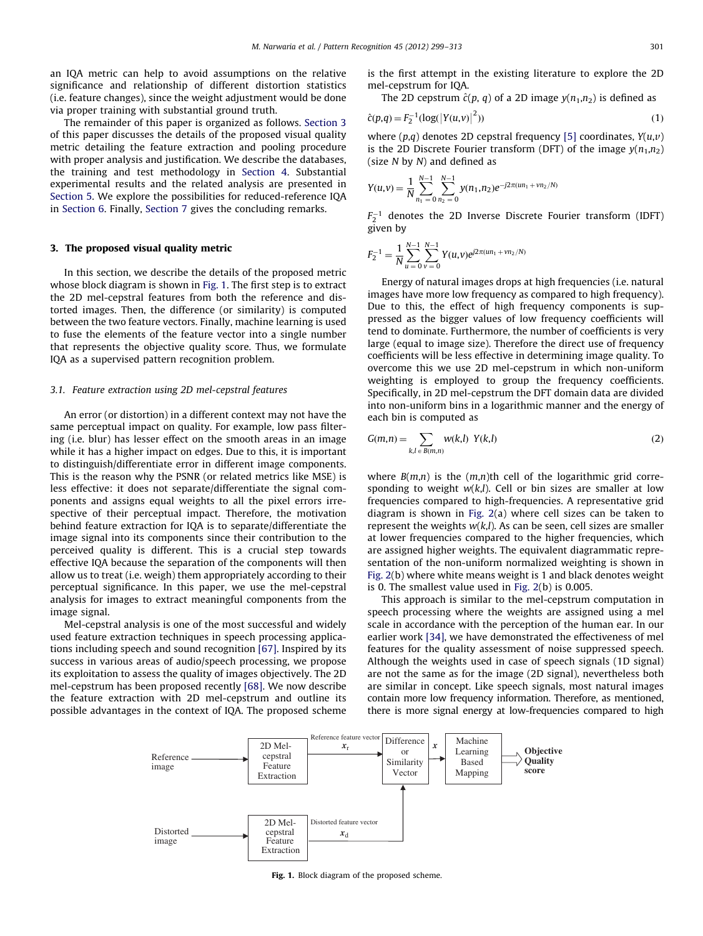an IQA metric can help to avoid assumptions on the relative significance and relationship of different distortion statistics (i.e. feature changes), since the weight adjustment would be done via proper training with substantial ground truth.

The remainder of this paper is organized as follows. Section 3 of this paper discusses the details of the proposed visual quality metric detailing the feature extraction and pooling procedure with proper analysis and justification. We describe the databases, the training and test methodology in Section 4. Substantial experimental results and the related analysis are presented in Section 5. We explore the possibilities for reduced-reference IQA in Section 6. Finally, Section 7 gives the concluding remarks.

#### 3. The proposed visual quality metric

In this section, we describe the details of the proposed metric whose block diagram is shown in Fig. 1. The first step is to extract the 2D mel-cepstral features from both the reference and distorted images. Then, the difference (or similarity) is computed between the two feature vectors. Finally, machine learning is used to fuse the elements of the feature vector into a single number that represents the objective quality score. Thus, we formulate IQA as a supervised pattern recognition problem.

## *3.1. Feature extraction using 2D mel-cepstral features*

An error (or distortion) in a different context may not have the same perceptual impact on quality. For example, low pass filtering (i.e. blur) has lesser effect on the smooth areas in an image while it has a higher impact on edges. Due to this, it is important to distinguish/differentiate error in different image components. This is the reason why the PSNR (or related metrics like MSE) is less effective: it does not separate/differentiate the signal components and assigns equal weights to all the pixel errors irrespective of their perceptual impact. Therefore, the motivation behind feature extraction for IQA is to separate/differentiate the image signal into its components since their contribution to the perceived quality is different. This is a crucial step towards effective IQA because the separation of the components will then allow us to treat (i.e. weigh) them appropriately according to their perceptual significance. In this paper, we use the mel-cepstral analysis for images to extract meaningful components from the image signal.

Mel-cepstral analysis is one of the most successful and widely used feature extraction techniques in speech processing applications including speech and sound recognition [67]. Inspired by its success in various areas of audio/speech processing, we propose its exploitation to assess the quality of images objectively. The 2D mel-cepstrum has been proposed recently [68]. We now describe the feature extraction with 2D mel-cepstrum and outline its possible advantages in the context of IQA. The proposed scheme is the first attempt in the existing literature to explore the 2D mel-cepstrum for IQA.

The 2D cepstrum  $\hat{c}(p, q)$  of a 2D image  $y(n_1, n_2)$  is defined as

$$
\hat{c}(p,q) = F_2^{-1}(\log(|Y(u,v)|^2))
$$
\n(1)

where (*p*,*q*) denotes 2D cepstral frequency [5] coordinates, *Y*(*u*,v) is the 2D Discrete Fourier transform (DFT) of the image  $y(n_1,n_2)$ (size *N* by *N*) and defined as

$$
Y(u,v) = \frac{1}{N} \sum_{n_1=0}^{N-1} \sum_{n_2=0}^{N-1} y(n_1, n_2) e^{-j2\pi (un_1 + vn_2/N)}
$$

 $F_2^{-1}$  denotes the 2D Inverse Discrete Fourier transform (IDFT) given by

$$
F_2^{-1} = \frac{1}{N} \sum_{u=0}^{N-1} \sum_{v=0}^{N-1} Y(u,v) e^{j2\pi (un_1 + vn_2/N)}
$$

Energy of natural images drops at high frequencies (i.e. natural images have more low frequency as compared to high frequency). Due to this, the effect of high frequency components is suppressed as the bigger values of low frequency coefficients will tend to dominate. Furthermore, the number of coefficients is very large (equal to image size). Therefore the direct use of frequency coefficients will be less effective in determining image quality. To overcome this we use 2D mel-cepstrum in which non-uniform weighting is employed to group the frequency coefficients. Specifically, in 2D mel-cepstrum the DFT domain data are divided into non-uniform bins in a logarithmic manner and the energy of each bin is computed as

$$
G(m,n) = \sum_{k,l \in B(m,n)} w(k,l) \ Y(k,l)
$$
 (2)

where *B*(*m*,*n*) is the (*m*,*n*)th cell of the logarithmic grid corresponding to weight *w*(*k*,*l*). Cell or bin sizes are smaller at low frequencies compared to high-frequencies. A representative grid diagram is shown in Fig. 2(a) where cell sizes can be taken to represent the weights *w*(*k*,*l*). As can be seen, cell sizes are smaller at lower frequencies compared to the higher frequencies, which are assigned higher weights. The equivalent diagrammatic representation of the non-uniform normalized weighting is shown in Fig. 2(b) where white means weight is 1 and black denotes weight is 0. The smallest value used in Fig. 2(b) is 0.005.

This approach is similar to the mel-cepstrum computation in speech processing where the weights are assigned using a mel scale in accordance with the perception of the human ear. In our earlier work [34], we have demonstrated the effectiveness of mel features for the quality assessment of noise suppressed speech. Although the weights used in case of speech signals (1D signal) are not the same as for the image (2D signal), nevertheless both are similar in concept. Like speech signals, most natural images contain more low frequency information. Therefore, as mentioned, there is more signal energy at low-frequencies compared to high



Fig. 1. Block diagram of the proposed scheme.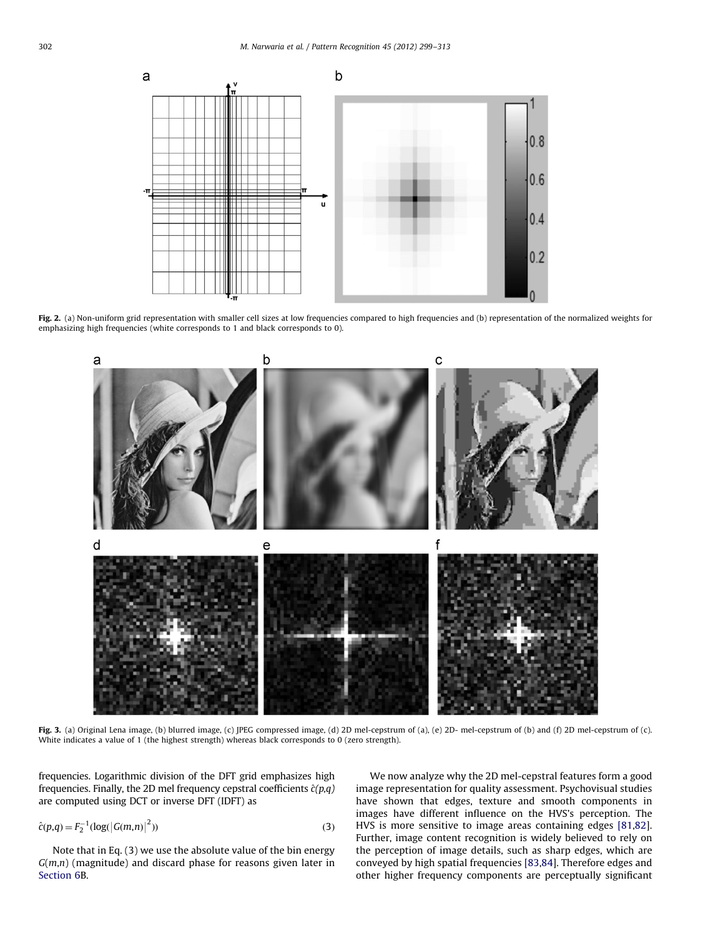

Fig. 2. (a) Non-uniform grid representation with smaller cell sizes at low frequencies compared to high frequencies and (b) representation of the normalized weights for emphasizing high frequencies (white corresponds to 1 and black corresponds to 0).



Fig. 3. (a) Original Lena image, (b) blurred image, (c) JPEG compressed image, (d) 2D mel-cepstrum of (a), (e) 2D- mel-cepstrum of (b) and (f) 2D mel-cepstrum of (c). White indicates a value of 1 (the highest strength) whereas black corresponds to 0 (zero strength).

frequencies. Logarithmic division of the DFT grid emphasizes high frequencies. Finally, the 2D mel frequency cepstral coefficients *c(p,q)* ^ are computed using DCT or inverse DFT (IDFT) as

$$
\hat{c}(p,q) = F_2^{-1} (\log(|G(m,n)|^2))
$$
\n(3)

Note that in Eq. (3) we use the absolute value of the bin energy *G*(*m*,*n*) (magnitude) and discard phase for reasons given later in Section 6B.

We now analyze why the 2D mel-cepstral features form a good image representation for quality assessment. Psychovisual studies have shown that edges, texture and smooth components in images have different influence on the HVS's perception. The HVS is more sensitive to image areas containing edges [81,82]. Further, image content recognition is widely believed to rely on the perception of image details, such as sharp edges, which are conveyed by high spatial frequencies [83,84]. Therefore edges and other higher frequency components are perceptually significant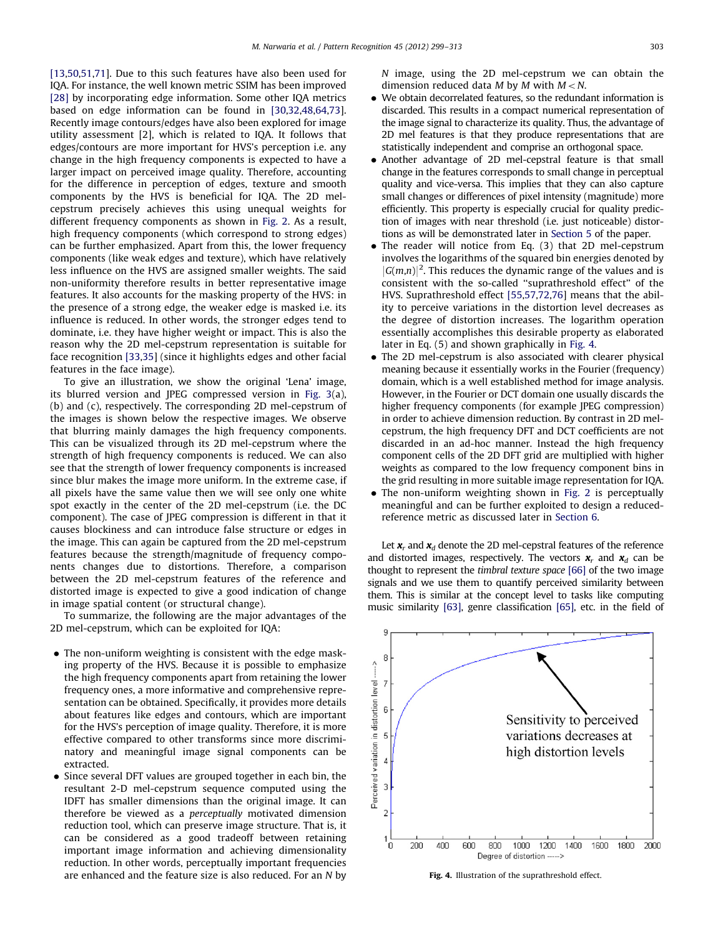[13,50,51,71]. Due to this such features have also been used for IQA. For instance, the well known metric SSIM has been improved [28] by incorporating edge information. Some other IQA metrics based on edge information can be found in [30,32,48,64,73]. Recently image contours/edges have also been explored for image utility assessment [2], which is related to IQA. It follows that edges/contours are more important for HVS's perception i.e. any change in the high frequency components is expected to have a larger impact on perceived image quality. Therefore, accounting for the difference in perception of edges, texture and smooth components by the HVS is beneficial for IQA. The 2D melcepstrum precisely achieves this using unequal weights for different frequency components as shown in Fig. 2. As a result, high frequency components (which correspond to strong edges) can be further emphasized. Apart from this, the lower frequency components (like weak edges and texture), which have relatively less influence on the HVS are assigned smaller weights. The said non-uniformity therefore results in better representative image features. It also accounts for the masking property of the HVS: in the presence of a strong edge, the weaker edge is masked i.e. its influence is reduced. In other words, the stronger edges tend to dominate, i.e. they have higher weight or impact. This is also the reason why the 2D mel-cepstrum representation is suitable for face recognition [33,35] (since it highlights edges and other facial features in the face image).

To give an illustration, we show the original 'Lena' image, its blurred version and JPEG compressed version in Fig. 3(a), (b) and (c), respectively. The corresponding 2D mel-cepstrum of the images is shown below the respective images. We observe that blurring mainly damages the high frequency components. This can be visualized through its 2D mel-cepstrum where the strength of high frequency components is reduced. We can also see that the strength of lower frequency components is increased since blur makes the image more uniform. In the extreme case, if all pixels have the same value then we will see only one white spot exactly in the center of the 2D mel-cepstrum (i.e. the DC component). The case of JPEG compression is different in that it causes blockiness and can introduce false structure or edges in the image. This can again be captured from the 2D mel-cepstrum features because the strength/magnitude of frequency components changes due to distortions. Therefore, a comparison between the 2D mel-cepstrum features of the reference and distorted image is expected to give a good indication of change in image spatial content (or structural change).

To summarize, the following are the major advantages of the 2D mel-cepstrum, which can be exploited for IQA:

- The non-uniform weighting is consistent with the edge masking property of the HVS. Because it is possible to emphasize the high frequency components apart from retaining the lower frequency ones, a more informative and comprehensive representation can be obtained. Specifically, it provides more details about features like edges and contours, which are important for the HVS's perception of image quality. Therefore, it is more effective compared to other transforms since more discriminatory and meaningful image signal components can be extracted.
- Since several DFT values are grouped together in each bin, the resultant 2-D mel-cepstrum sequence computed using the IDFT has smaller dimensions than the original image. It can therefore be viewed as a *perceptually* motivated dimension reduction tool, which can preserve image structure. That is, it can be considered as a good tradeoff between retaining important image information and achieving dimensionality reduction. In other words, perceptually important frequencies are enhanced and the feature size is also reduced. For an *N* by

*N* image, using the 2D mel-cepstrum we can obtain the dimension reduced data  $M$  by  $M$  with  $M < N$ .

- We obtain decorrelated features, so the redundant information is discarded. This results in a compact numerical representation of the image signal to characterize its quality. Thus, the advantage of 2D mel features is that they produce representations that are statistically independent and comprise an orthogonal space.
- Another advantage of 2D mel-cepstral feature is that small change in the features corresponds to small change in perceptual quality and vice-versa. This implies that they can also capture small changes or differences of pixel intensity (magnitude) more efficiently. This property is especially crucial for quality prediction of images with near threshold (i.e. just noticeable) distortions as will be demonstrated later in Section 5 of the paper.
- The reader will notice from Eq. (3) that 2D mel-cepstrum involves the logarithms of the squared bin energies denoted by  $|G(m,n)|^2$ . This reduces the dynamic range of the values and is consistent with the so-called ''suprathreshold effect'' of the HVS. Suprathreshold effect [55,57,72,76] means that the ability to perceive variations in the distortion level decreases as the degree of distortion increases. The logarithm operation essentially accomplishes this desirable property as elaborated later in Eq. (5) and shown graphically in Fig. 4.
- The 2D mel-cepstrum is also associated with clearer physical meaning because it essentially works in the Fourier (frequency) domain, which is a well established method for image analysis. However, in the Fourier or DCT domain one usually discards the higher frequency components (for example JPEG compression) in order to achieve dimension reduction. By contrast in 2D melcepstrum, the high frequency DFT and DCT coefficients are not discarded in an ad-hoc manner. Instead the high frequency component cells of the 2D DFT grid are multiplied with higher weights as compared to the low frequency component bins in the grid resulting in more suitable image representation for IQA.
- The non-uniform weighting shown in Fig. 2 is perceptually meaningful and can be further exploited to design a reducedreference metric as discussed later in Section 6.

Let  $x_r$  and  $x_d$  denote the 2D mel-cepstral features of the reference and distorted images, respectively. The vectors  $x_r$  and  $x_d$  can be thought to represent the *timbral texture space* [66] of the two image signals and we use them to quantify perceived similarity between them. This is similar at the concept level to tasks like computing music similarity [63], genre classification [65], etc. in the field of



Fig. 4. Illustration of the suprathreshold effect.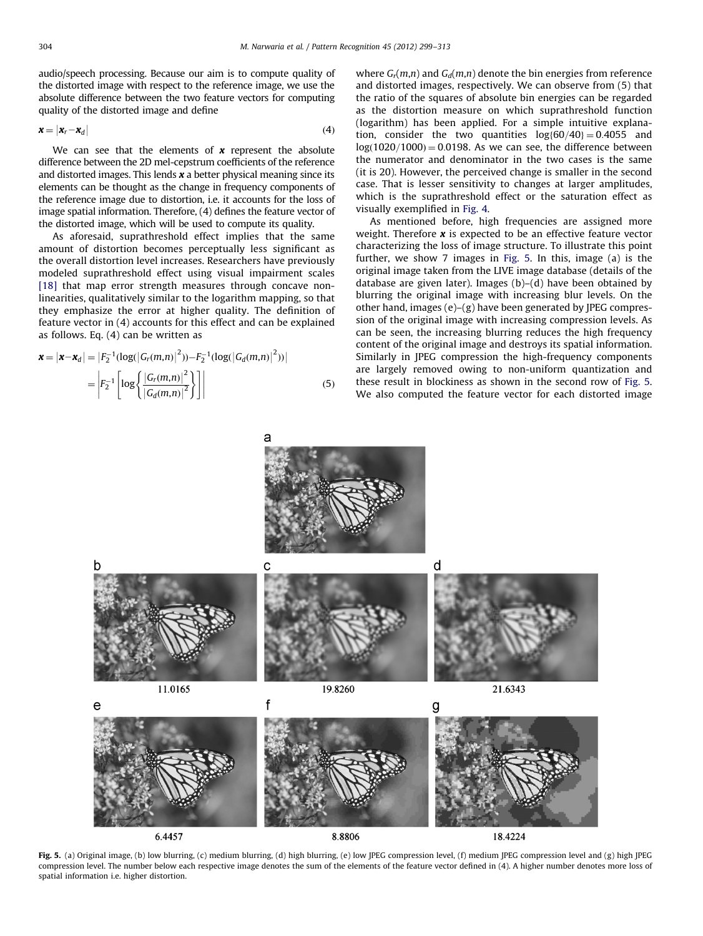audio/speech processing. Because our aim is to compute quality of the distorted image with respect to the reference image, we use the absolute difference between the two feature vectors for computing quality of the distorted image and define

$$
\mathbf{x} = |\mathbf{x}_r - \mathbf{x}_d| \tag{4}
$$

We can see that the elements of  $x$  represent the absolute difference between the 2D mel-cepstrum coefficients of the reference and distorted images. This lends  $x$  a better physical meaning since its elements can be thought as the change in frequency components of the reference image due to distortion, i.e. it accounts for the loss of image spatial information. Therefore, (4) defines the feature vector of the distorted image, which will be used to compute its quality.

As aforesaid, suprathreshold effect implies that the same amount of distortion becomes perceptually less significant as the overall distortion level increases. Researchers have previously modeled suprathreshold effect using visual impairment scales [18] that map error strength measures through concave nonlinearities, qualitatively similar to the logarithm mapping, so that they emphasize the error at higher quality. The definition of feature vector in (4) accounts for this effect and can be explained as follows. Eq. (4) can be written as

$$
\mathbf{x} = |\mathbf{x} - \mathbf{x}_d| = |F_2^{-1}(\log(|G_r(m,n)|^2)) - F_2^{-1}(\log(|G_d(m,n)|^2))|
$$
  
=  $|F_2^{-1}\left[\log\left{\frac{|G_r(m,n)|^2}{|G_d(m,n)|^2}\right}\right]|$  (5)

where  $G_r(m,n)$  and  $G_d(m,n)$  denote the bin energies from reference and distorted images, respectively. We can observe from (5) that the ratio of the squares of absolute bin energies can be regarded as the distortion measure on which suprathreshold function (logarithm) has been applied. For a simple intuitive explanation, consider the two quantities  $log(60/40) = 0.4055$  and  $log(1020/1000) = 0.0198$ . As we can see, the difference between the numerator and denominator in the two cases is the same (it is 20). However, the perceived change is smaller in the second case. That is lesser sensitivity to changes at larger amplitudes, which is the suprathreshold effect or the saturation effect as visually exemplified in Fig. 4.

As mentioned before, high frequencies are assigned more weight. Therefore  $x$  is expected to be an effective feature vector characterizing the loss of image structure. To illustrate this point further, we show 7 images in Fig. 5. In this, image (a) is the original image taken from the LIVE image database (details of the database are given later). Images  $(b)$ – $(d)$  have been obtained by blurring the original image with increasing blur levels. On the other hand, images (e)–(g) have been generated by JPEG compression of the original image with increasing compression levels. As can be seen, the increasing blurring reduces the high frequency content of the original image and destroys its spatial information. Similarly in JPEG compression the high-frequency components are largely removed owing to non-uniform quantization and these result in blockiness as shown in the second row of Fig. 5. We also computed the feature vector for each distorted image



Fig. 5. (a) Original image, (b) low blurring, (c) medium blurring, (d) high blurring, (e) low JPEG compression level, (f) medium JPEG compression level and (g) high JPEG compression level. The number below each respective image denotes the sum of the elements of the feature vector defined in (4). A higher number denotes more loss of spatial information i.e. higher distortion.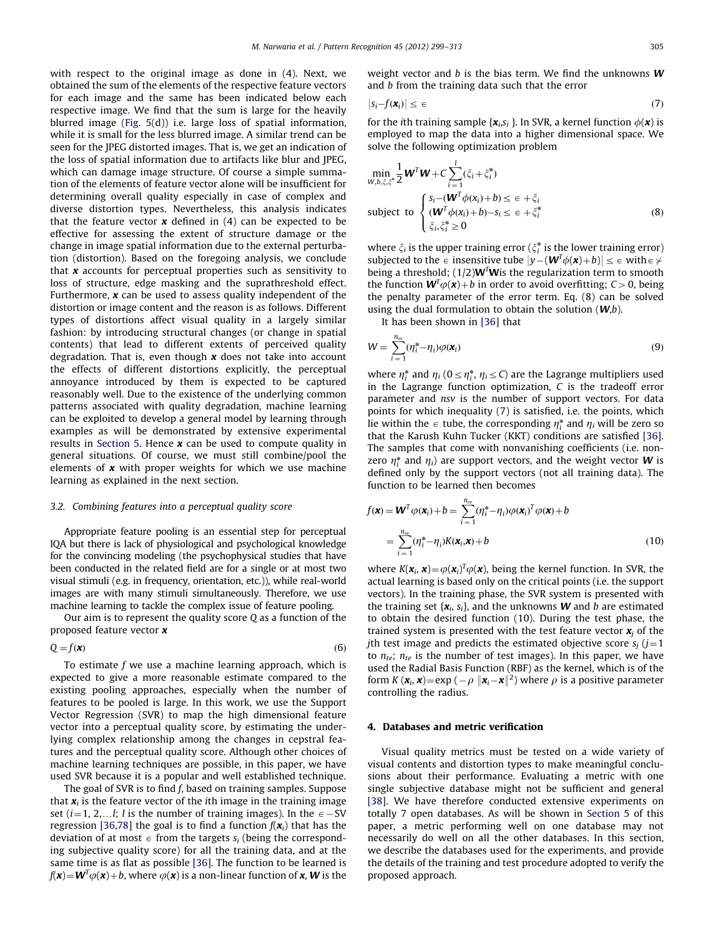with respect to the original image as done in (4). Next, we obtained the sum of the elements of the respective feature vectors for each image and the same has been indicated below each respective image. We find that the sum is large for the heavily blurred image (Fig. 5(d)) i.e. large loss of spatial information, while it is small for the less blurred image. A similar trend can be seen for the JPEG distorted images. That is, we get an indication of the loss of spatial information due to artifacts like blur and JPEG, which can damage image structure. Of course a simple summation of the elements of feature vector alone will be insufficient for determining overall quality especially in case of complex and diverse distortion types. Nevertheless, this analysis indicates that the feature vector  $x$  defined in (4) can be expected to be effective for assessing the extent of structure damage or the change in image spatial information due to the external perturbation (distortion). Based on the foregoing analysis, we conclude that  $x$  accounts for perceptual properties such as sensitivity to loss of structure, edge masking and the suprathreshold effect. Furthermore,  $x$  can be used to assess quality independent of the distortion or image content and the reason is as follows. Different types of distortions affect visual quality in a largely similar fashion: by introducing structural changes (or change in spatial contents) that lead to different extents of perceived quality degradation. That is, even though  $x$  does not take into account the effects of different distortions explicitly, the perceptual annoyance introduced by them is expected to be captured reasonably well. Due to the existence of the underlying common patterns associated with quality degradation, machine learning can be exploited to develop a general model by learning through examples as will be demonstrated by extensive experimental results in Section 5. Hence  $x$  can be used to compute quality in general situations. Of course, we must still combine/pool the elements of  $x$  with proper weights for which we use machine learning as explained in the next section.

#### *3.2. Combining features into a perceptual quality score*

Appropriate feature pooling is an essential step for perceptual IQA but there is lack of physiological and psychological knowledge for the convincing modeling (the psychophysical studies that have been conducted in the related field are for a single or at most two visual stimuli (e.g. in frequency, orientation, etc.)), while real-world images are with many stimuli simultaneously. Therefore, we use machine learning to tackle the complex issue of feature pooling.

Our aim is to represent the quality score *Q* as a function of the proposed feature vector x

$$
Q = f(\mathbf{x}) \tag{6}
$$

To estimate *f* we use a machine learning approach, which is expected to give a more reasonable estimate compared to the existing pooling approaches, especially when the number of features to be pooled is large. In this work, we use the Support Vector Regression (SVR) to map the high dimensional feature vector into a perceptual quality score, by estimating the underlying complex relationship among the changes in cepstral features and the perceptual quality score. Although other choices of machine learning techniques are possible, in this paper, we have used SVR because it is a popular and well established technique.

The goal of SVR is to find *f*, based on training samples. Suppose that x*<sup>i</sup>* is the feature vector of the *i*th image in the training image set  $(i=1, 2,...)$ ; *l* is the number of training images). In the  $\epsilon$  – SV regression [36,78] the goal is to find a function  $f(x_i)$  that has the deviation of at most  $\in$  from the targets  $s_i$  (being the corresponding subjective quality score) for all the training data, and at the same time is as flat as possible [36]. The function to be learned is  $f(x) = W^T \varphi(x) + b$ , where  $\varphi(x)$  is a non-linear function of x, W is the weight vector and *b* is the bias term. We find the unknowns W and *b* from the training data such that the error

$$
|s_i - f(\mathbf{x}_i)| \le \epsilon \tag{7}
$$

for the *i*th training sample { $\boldsymbol{x}_i$ , $s_i$  }. In SVR, a kernel function  $\phi(\boldsymbol{x})$  is employed to map the data into a higher dimensional space. We solve the following optimization problem

$$
\min_{W, b, \xi, \xi^*} \frac{1}{2} \mathbf{W}^T \mathbf{W} + C \sum_{i=1}^l (\xi_i + \xi_i^*)
$$
\nsubject to\n
$$
\begin{cases}\n\mathbf{S}_i - (\mathbf{W}^T \phi(\mathbf{x}_i) + b) \le \epsilon + \xi_i \\
(\mathbf{W}^T \phi(\mathbf{x}_i) + b) - \mathbf{S}_i \le \epsilon + \xi_i^* \\
\xi_i, \xi_i^* \ge 0\n\end{cases}
$$
\n(8)

where  $\xi_i$  is the upper training error ( $\xi_i^*$  is the lower training error) subjected to the  $\epsilon$  insensitive tube  $|y-(\mathbf{W}^T\phi(\mathbf{x})+b)| \leq \epsilon$  with  $\epsilon \neq 0$ being a threshold; (1/2)W*T*Wis the regularization term to smooth the function  $\mathbf{W}^T \varphi(\mathbf{x}) + b$  in order to avoid overfitting;  $C > 0$ , being the penalty parameter of the error term. Eq. (8) can be solved using the dual formulation to obtain the solution (W,*b*).

It has been shown in [36] that

$$
W = \sum_{i=1}^{n_{\rm sv}} (\eta_i^* - \eta_i) \varphi(\mathbf{x}_i)
$$
\n(9)

where  $\eta_i^*$  and  $\eta_i$  ( $0 \leq \eta_i^*$ ,  $\eta_i \leq C$ ) are the Lagrange multipliers used in the Lagrange function optimization, *C* is the tradeoff error parameter and *nsv* is the number of support vectors. For data points for which inequality (7) is satisfied, i.e. the points, which lie within the  $\epsilon$  tube, the corresponding  $\eta_i^*$  and  $\eta_i$  will be zero so that the Karush Kuhn Tucker (KKT) conditions are satisfied [36]. The samples that come with nonvanishing coefficients (i.e. nonzero  $\eta_i^*$  and  $\eta_i$ ) are support vectors, and the weight vector **W** is defined only by the support vectors (not all training data). The function to be learned then becomes

$$
f(\mathbf{x}) = \mathbf{W}^T \varphi(\mathbf{x}_i) + b = \sum_{i=1}^{n_{sv}} (\eta_i^* - \eta_i) \varphi(\mathbf{x}_i)^T \varphi(\mathbf{x}) + b
$$
  
= 
$$
\sum_{i=1}^{n_{sv}} (\eta_i^* - \eta_i) K(\mathbf{x}_i, \mathbf{x}) + b
$$
(10)

where  $K(\mathbf{x}_i, \mathbf{x}) = \varphi(\mathbf{x}_i)^T \varphi(\mathbf{x})$ , being the kernel function. In SVR, the actual learning is based only on the critical points (i.e. the support vectors). In the training phase, the SVR system is presented with the training set  $\{x_i, s_i\}$ , and the unknowns **W** and *b* are estimated to obtain the desired function (10). During the test phase, the trained system is presented with the test feature vector  $x_i$  of the *j*th test image and predicts the estimated objective score  $s_j$  (*j*=1 to  $n_{te}$ ;  $n_{te}$  is the number of test images). In this paper, we have used the Radial Basis Function (RBF) as the kernel, which is of the form  $K\left(\boldsymbol{x}_{i}, \boldsymbol{x}\right) = \exp\left(-\rho \, \left\|\boldsymbol{x}_{i} - \boldsymbol{x}\right\|^{2}\right)$  where  $\rho$  is a positive parameter controlling the radius.

#### 4. Databases and metric verification

Visual quality metrics must be tested on a wide variety of visual contents and distortion types to make meaningful conclusions about their performance. Evaluating a metric with one single subjective database might not be sufficient and general [38]. We have therefore conducted extensive experiments on totally 7 open databases. As will be shown in Section 5 of this paper, a metric performing well on one database may not necessarily do well on all the other databases. In this section, we describe the databases used for the experiments, and provide the details of the training and test procedure adopted to verify the proposed approach.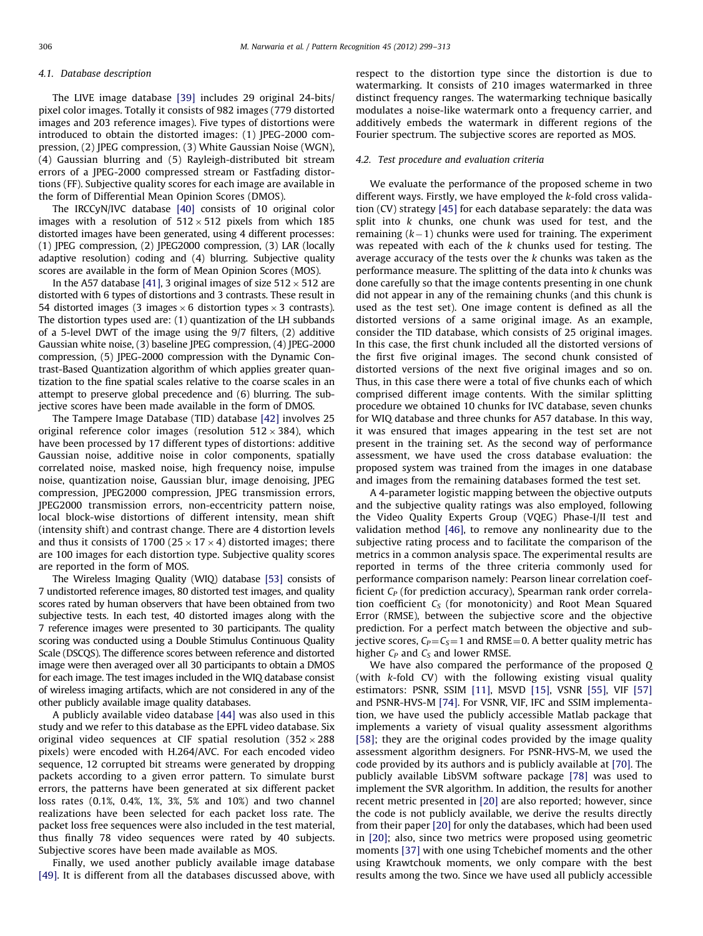## *4.1. Database description*

The LIVE image database [39] includes 29 original 24-bits/ pixel color images. Totally it consists of 982 images (779 distorted images and 203 reference images). Five types of distortions were introduced to obtain the distorted images: (1) JPEG-2000 compression, (2) JPEG compression, (3) White Gaussian Noise (WGN), (4) Gaussian blurring and (5) Rayleigh-distributed bit stream errors of a JPEG-2000 compressed stream or Fastfading distortions (FF). Subjective quality scores for each image are available in the form of Differential Mean Opinion Scores (DMOS).

The IRCCyN/IVC database [40] consists of 10 original color images with a resolution of  $512 \times 512$  pixels from which 185 distorted images have been generated, using 4 different processes: (1) JPEG compression, (2) JPEG2000 compression, (3) LAR (locally adaptive resolution) coding and (4) blurring. Subjective quality scores are available in the form of Mean Opinion Scores (MOS).

In the A57 database [41], 3 original images of size  $512 \times 512$  are distorted with 6 types of distortions and 3 contrasts. These result in 54 distorted images (3 images  $\times$  6 distortion types  $\times$  3 contrasts). The distortion types used are: (1) quantization of the LH subbands of a 5-level DWT of the image using the 9/7 filters, (2) additive Gaussian white noise, (3) baseline JPEG compression, (4) JPEG-2000 compression, (5) JPEG-2000 compression with the Dynamic Contrast-Based Quantization algorithm of which applies greater quantization to the fine spatial scales relative to the coarse scales in an attempt to preserve global precedence and (6) blurring. The subjective scores have been made available in the form of DMOS.

The Tampere Image Database (TID) database [42] involves 25 original reference color images (resolution  $512 \times 384$ ), which have been processed by 17 different types of distortions: additive Gaussian noise, additive noise in color components, spatially correlated noise, masked noise, high frequency noise, impulse noise, quantization noise, Gaussian blur, image denoising, JPEG compression, JPEG2000 compression, JPEG transmission errors, JPEG2000 transmission errors, non-eccentricity pattern noise, local block-wise distortions of different intensity, mean shift (intensity shift) and contrast change. There are 4 distortion levels and thus it consists of 1700 (25  $\times$  17  $\times$  4) distorted images; there are 100 images for each distortion type. Subjective quality scores are reported in the form of MOS.

The Wireless Imaging Quality (WIQ) database [53] consists of 7 undistorted reference images, 80 distorted test images, and quality scores rated by human observers that have been obtained from two subjective tests. In each test, 40 distorted images along with the 7 reference images were presented to 30 participants. The quality scoring was conducted using a Double Stimulus Continuous Quality Scale (DSCQS). The difference scores between reference and distorted image were then averaged over all 30 participants to obtain a DMOS for each image. The test images included in the WIQ database consist of wireless imaging artifacts, which are not considered in any of the other publicly available image quality databases.

A publicly available video database [44] was also used in this study and we refer to this database as the EPFL video database. Six original video sequences at CIF spatial resolution  $(352 \times 288)$ pixels) were encoded with H.264/AVC. For each encoded video sequence, 12 corrupted bit streams were generated by dropping packets according to a given error pattern. To simulate burst errors, the patterns have been generated at six different packet loss rates (0.1%, 0.4%, 1%, 3%, 5% and 10%) and two channel realizations have been selected for each packet loss rate. The packet loss free sequences were also included in the test material, thus finally 78 video sequences were rated by 40 subjects. Subjective scores have been made available as MOS.

Finally, we used another publicly available image database [49]. It is different from all the databases discussed above, with respect to the distortion type since the distortion is due to watermarking. It consists of 210 images watermarked in three distinct frequency ranges. The watermarking technique basically modulates a noise-like watermark onto a frequency carrier, and additively embeds the watermark in different regions of the Fourier spectrum. The subjective scores are reported as MOS.

#### *4.2. Test procedure and evaluation criteria*

We evaluate the performance of the proposed scheme in two different ways. Firstly, we have employed the *k*-fold cross validation (CV) strategy [45] for each database separately: the data was split into *k* chunks, one chunk was used for test, and the  $r$ emaining  $(k-1)$  chunks were used for training. The experiment was repeated with each of the *k* chunks used for testing. The average accuracy of the tests over the *k* chunks was taken as the performance measure. The splitting of the data into *k* chunks was done carefully so that the image contents presenting in one chunk did not appear in any of the remaining chunks (and this chunk is used as the test set). One image content is defined as all the distorted versions of a same original image. As an example, consider the TID database, which consists of 25 original images. In this case, the first chunk included all the distorted versions of the first five original images. The second chunk consisted of distorted versions of the next five original images and so on. Thus, in this case there were a total of five chunks each of which comprised different image contents. With the similar splitting procedure we obtained 10 chunks for IVC database, seven chunks for WIQ database and three chunks for A57 database. In this way, it was ensured that images appearing in the test set are not present in the training set. As the second way of performance assessment, we have used the cross database evaluation: the proposed system was trained from the images in one database and images from the remaining databases formed the test set.

A 4-parameter logistic mapping between the objective outputs and the subjective quality ratings was also employed, following the Video Quality Experts Group (VQEG) Phase-I/II test and validation method [46], to remove any nonlinearity due to the subjective rating process and to facilitate the comparison of the metrics in a common analysis space. The experimental results are reported in terms of the three criteria commonly used for performance comparison namely: Pearson linear correlation coefficient *C<sup>P</sup>* (for prediction accuracy), Spearman rank order correlation coefficient *C<sup>S</sup>* (for monotonicity) and Root Mean Squared Error (RMSE), between the subjective score and the objective prediction. For a perfect match between the objective and subjective scores,  $C_P = C_S = 1$  and RMSE = 0. A better quality metric has higher *C<sup>P</sup>* and *C<sup>S</sup>* and lower RMSE.

We have also compared the performance of the proposed *Q* (with *k*-fold CV) with the following existing visual quality estimators: PSNR, SSIM [11], MSVD [15], VSNR [55], VIF [57] and PSNR-HVS-M [74]. For VSNR, VIF, IFC and SSIM implementation, we have used the publicly accessible Matlab package that implements a variety of visual quality assessment algorithms [58]; they are the original codes provided by the image quality assessment algorithm designers. For PSNR-HVS-M, we used the code provided by its authors and is publicly available at [70]. The publicly available LibSVM software package [78] was used to implement the SVR algorithm. In addition, the results for another recent metric presented in [20] are also reported; however, since the code is not publicly available, we derive the results directly from their paper [20] for only the databases, which had been used in [20]; also, since two metrics were proposed using geometric moments [37] with one using Tchebichef moments and the other using Krawtchouk moments, we only compare with the best results among the two. Since we have used all publicly accessible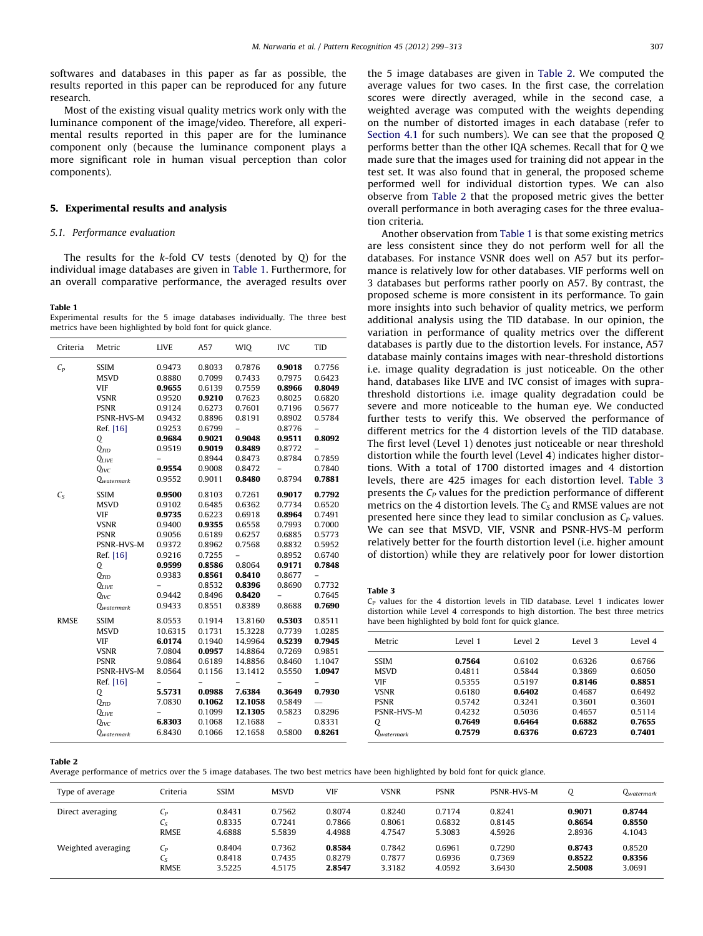softwares and databases in this paper as far as possible, the results reported in this paper can be reproduced for any future research.

Most of the existing visual quality metrics work only with the luminance component of the image/video. Therefore, all experimental results reported in this paper are for the luminance component only (because the luminance component plays a more significant role in human visual perception than color components).

## 5. Experimental results and analysis

## *5.1. Performance evaluation*

The results for the *k*-fold CV tests (denoted by *Q*) for the individual image databases are given in Table 1. Furthermore, for an overall comparative performance, the averaged results over

Table 1 Experimental results for the 5 image databases individually. The three best metrics have been highlighted by bold font for quick glance.

| Criteria    | Metric          | <b>LIVE</b> | A57    | <b>WIO</b>     | <b>IVC</b>     | <b>TID</b>               |
|-------------|-----------------|-------------|--------|----------------|----------------|--------------------------|
| $C_P$       | <b>SSIM</b>     | 0.9473      | 0.8033 | 0.7876         | 0.9018         | 0.7756                   |
|             | <b>MSVD</b>     | 0.8880      | 0.7099 | 0.7433         | 0.7975         | 0.6423                   |
|             | <b>VIF</b>      | 0.9655      | 0.6139 | 0.7559         | 0.8966         | 0.8049                   |
|             | <b>VSNR</b>     | 0.9520      | 0.9210 | 0.7623         | 0.8025         | 0.6820                   |
|             | <b>PSNR</b>     | 0.9124      | 0.6273 | 0.7601         | 0.7196         | 0.5677                   |
|             | PSNR-HVS-M      | 0.9432      | 0.8896 | 0.8191         | 0.8902         | 0.5784                   |
|             | Ref. [16]       | 0.9253      | 0.6799 |                | 0.8776         |                          |
|             | Q               | 0.9684      | 0.9021 | 0.9048         | 0.9511         | 0.8092                   |
|             | $Q_{TID}$       | 0.9519      | 0.9019 | 0.8489         | 0.8772         | -                        |
|             | $Q_{LIVE}$      | -           | 0.8944 | 0.8473         | 0.8784         | 0.7859                   |
|             | $Q_{IVC}$       | 0.9554      | 0.9008 | 0.8472         |                | 0.7840                   |
|             | $Q_{watermark}$ | 0.9552      | 0.9011 | 0.8480         | 0.8794         | 0.7881                   |
| $C_{S}$     | <b>SSIM</b>     | 0.9500      | 0.8103 | 0.7261         | 0.9017         | 0.7792                   |
|             | <b>MSVD</b>     | 0.9102      | 0.6485 | 0.6362         | 0.7734         | 0.6520                   |
|             | <b>VIF</b>      | 0.9735      | 0.6223 | 0.6918         | 0.8964         | 0.7491                   |
|             | <b>VSNR</b>     | 0.9400      | 0.9355 | 0.6558         | 0.7993         | 0.7000                   |
|             | <b>PSNR</b>     | 0.9056      | 0.6189 | 0.6257         | 0.6885         | 0.5773                   |
|             | PSNR-HVS-M      | 0.9372      | 0.8962 | 0.7568         | 0.8832         | 0.5952                   |
|             | Ref. [16]       | 0.9216      | 0.7255 | $\overline{a}$ | 0.8952         | 0.6740                   |
|             | Q               | 0.9599      | 0.8586 | 0.8064         | 0.9171         | 0.7848                   |
|             | $Q_{TID}$       | 0.9383      | 0.8561 | 0.8410         | 0.8677         | $\overline{\phantom{0}}$ |
|             | QLIVE           |             | 0.8532 | 0.8396         | 0.8690         | 0.7732                   |
|             | $Q_{IVC}$       | 0.9442      | 0.8496 | 0.8420         | $\overline{a}$ | 0.7645                   |
|             | $Q_{watermark}$ | 0.9433      | 0.8551 | 0.8389         | 0.8688         | 0.7690                   |
| <b>RMSE</b> | <b>SSIM</b>     | 8.0553      | 0.1914 | 13.8160        | 0.5303         | 0.8511                   |
|             | <b>MSVD</b>     | 10.6315     | 0.1731 | 15.3228        | 0.7739         | 1.0285                   |
|             | <b>VIF</b>      | 6.0174      | 0.1940 | 14.9964        | 0.5239         | 0.7945                   |
|             | <b>VSNR</b>     | 7.0804      | 0.0957 | 14.8864        | 0.7269         | 0.9851                   |
|             | <b>PSNR</b>     | 9.0864      | 0.6189 | 14.8856        | 0.8460         | 1.1047                   |
|             | PSNR-HVS-M      | 8.0564      | 0.1156 | 13.1412        | 0.5550         | 1.0947                   |
|             | Ref. [16]       | -           |        | $\overline{a}$ |                |                          |
|             | Q               | 5.5731      | 0.0988 | 7.6384         | 0.3649         | 0.7930                   |
|             | $Q_{TID}$       | 7.0830      | 0.1062 | 12.1058        | 0.5849         |                          |
|             | $Q_{LIVE}$      |             | 0.1099 | 12.1305        | 0.5823         | 0.8296                   |
|             | $Q_{IVC}$       | 6.8303      | 0.1068 | 12.1688        |                | 0.8331                   |
|             | $Q_{watermark}$ | 6.8430      | 0.1066 | 12.1658        | 0.5800         | 0.8261                   |

the 5 image databases are given in Table 2. We computed the average values for two cases. In the first case, the correlation scores were directly averaged, while in the second case, a weighted average was computed with the weights depending on the number of distorted images in each database (refer to Section 4.1 for such numbers). We can see that the proposed *Q* performs better than the other IQA schemes. Recall that for *Q* we made sure that the images used for training did not appear in the test set. It was also found that in general, the proposed scheme performed well for individual distortion types. We can also observe from Table 2 that the proposed metric gives the better overall performance in both averaging cases for the three evaluation criteria.

Another observation from Table 1 is that some existing metrics are less consistent since they do not perform well for all the databases. For instance VSNR does well on A57 but its performance is relatively low for other databases. VIF performs well on 3 databases but performs rather poorly on A57. By contrast, the proposed scheme is more consistent in its performance. To gain more insights into such behavior of quality metrics, we perform additional analysis using the TID database. In our opinion, the variation in performance of quality metrics over the different databases is partly due to the distortion levels. For instance, A57 database mainly contains images with near-threshold distortions i.e. image quality degradation is just noticeable. On the other hand, databases like LIVE and IVC consist of images with suprathreshold distortions i.e. image quality degradation could be severe and more noticeable to the human eye. We conducted further tests to verify this. We observed the performance of different metrics for the 4 distortion levels of the TID database. The first level (Level 1) denotes just noticeable or near threshold distortion while the fourth level (Level 4) indicates higher distortions. With a total of 1700 distorted images and 4 distortion levels, there are 425 images for each distortion level. Table 3 presents the *C<sup>P</sup>* values for the prediction performance of different metrics on the 4 distortion levels. The C<sub>S</sub> and RMSE values are not presented here since they lead to similar conclusion as  $C_P$  values. We can see that MSVD, VIF, VSNR and PSNR-HVS-M perform relatively better for the fourth distortion level (i.e. higher amount of distortion) while they are relatively poor for lower distortion

#### Table 3

 $C_P$  values for the 4 distortion levels in TID database. Level 1 indicates lower distortion while Level 4 corresponds to high distortion. The best three metrics have been highlighted by bold font for quick glance.

| Metric                                                          | Level 1                                        | Level 2                                        | Level 3                                        | Level 4                                        |
|-----------------------------------------------------------------|------------------------------------------------|------------------------------------------------|------------------------------------------------|------------------------------------------------|
| <b>SSIM</b><br><b>MSVD</b><br>VIF<br><b>VSNR</b><br><b>PSNR</b> | 0.7564<br>0.4811<br>0.5355<br>0.6180<br>0.5742 | 0.6102<br>0.5844<br>0.5197<br>0.6402<br>0.3241 | 0.6326<br>0.3869<br>0.8146<br>0.4687<br>0.3601 | 0.6766<br>0.6050<br>0.8851<br>0.6492<br>0.3601 |
| <b>PSNR-HVS-M</b><br>0                                          | 0.4232<br>0.7649<br>0.7579                     | 0.5036<br>0.6464<br>0.6376                     | 0.4657<br>0.6882<br>0.6723                     | 0.5114<br>0.7655<br>0.7401                     |

Average performance of metrics over the 5 image databases. The two best metrics have been highlighted by bold font for quick glance.

| Type of average    | Criteria    | <b>SSIM</b> | <b>MSVD</b> | <b>VIF</b> | <b>VSNR</b> | <b>PSNR</b> | <b>PSNR-HVS-M</b> | Q      | $Q_{watermark}$ |
|--------------------|-------------|-------------|-------------|------------|-------------|-------------|-------------------|--------|-----------------|
| Direct averaging   | Ċв          | 0.8431      | 0.7562      | 0.8074     | 0.8240      | 0.7174      | 0.8241            | 0.9071 | 0.8744          |
|                    | Lς          | 0.8335      | 0.7241      | 0.7866     | 0.8061      | 0.6832      | 0.8145            | 0.8654 | 0.8550          |
|                    | <b>RMSE</b> | 4.6888      | 5.5839      | 4.4988     | 4.7547      | 5.3083      | 4.5926            | 2.8936 | 4.1043          |
| Weighted averaging | Ċв          | 0.8404      | 0.7362      | 0.8584     | 0.7842      | 0.6961      | 0.7290            | 0.8743 | 0.8520          |
|                    | Lς          | 0.8418      | 0.7435      | 0.8279     | 0.7877      | 0.6936      | 0.7369            | 0.8522 | 0.8356          |
|                    | <b>RMSE</b> | 3.5225      | 4.5175      | 2.8547     | 3.3182      | 4.0592      | 3.6430            | 2.5008 | 3.0691          |

Table 2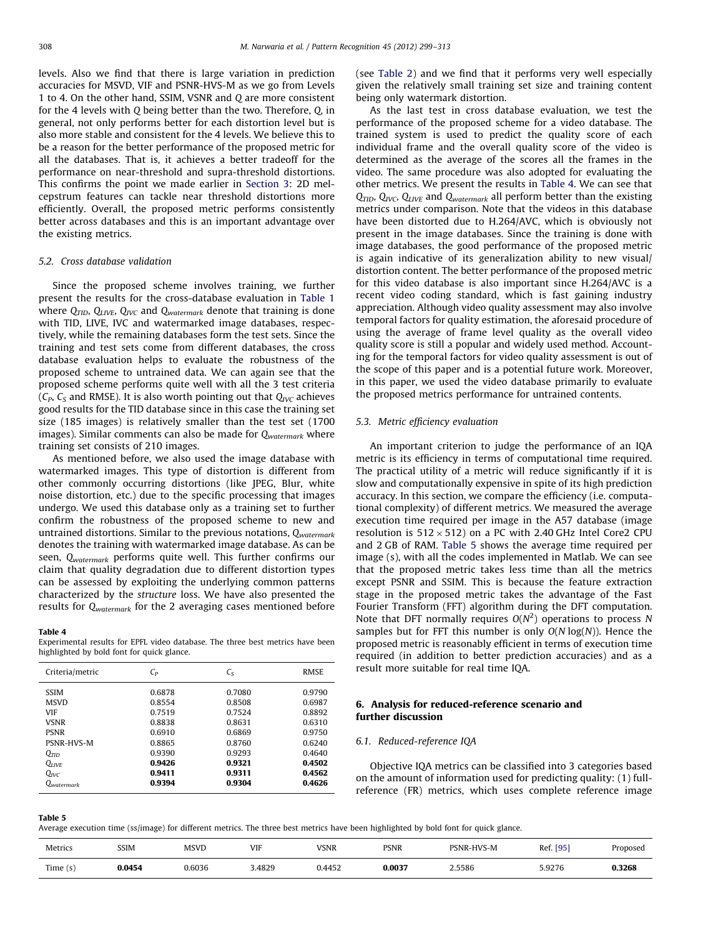levels. Also we find that there is large variation in prediction accuracies for MSVD, VIF and PSNR-HVS-M as we go from Levels 1 to 4. On the other hand, SSIM, VSNR and *Q* are more consistent for the 4 levels with *Q* being better than the two. Therefore, *Q*, in general, not only performs better for each distortion level but is also more stable and consistent for the 4 levels. We believe this to be a reason for the better performance of the proposed metric for all the databases. That is, it achieves a better tradeoff for the performance on near-threshold and supra-threshold distortions. This confirms the point we made earlier in Section 3: 2D melcepstrum features can tackle near threshold distortions more efficiently. Overall, the proposed metric performs consistently better across databases and this is an important advantage over the existing metrics.

#### *5.2. Cross database validation*

Since the proposed scheme involves training, we further present the results for the cross-database evaluation in Table 1 where *QTID*, *QLIVE*, *QIVC* and *Qwatermark* denote that training is done with TID, LIVE, IVC and watermarked image databases, respectively, while the remaining databases form the test sets. Since the training and test sets come from different databases, the cross database evaluation helps to evaluate the robustness of the proposed scheme to untrained data. We can again see that the proposed scheme performs quite well with all the 3 test criteria  $(C_P, C_S$  and RMSE). It is also worth pointing out that  $Q_{IVC}$  achieves good results for the TID database since in this case the training set size (185 images) is relatively smaller than the test set (1700 images). Similar comments can also be made for *Qwatermark* where training set consists of 210 images.

As mentioned before, we also used the image database with watermarked images. This type of distortion is different from other commonly occurring distortions (like JPEG, Blur, white noise distortion, etc.) due to the specific processing that images undergo. We used this database only as a training set to further confirm the robustness of the proposed scheme to new and untrained distortions. Similar to the previous notations, *Qwatermark* denotes the training with watermarked image database. As can be seen, *Qwatermark* performs quite well. This further confirms our claim that quality degradation due to different distortion types can be assessed by exploiting the underlying common patterns characterized by the *structure* loss. We have also presented the results for *Qwatermark* for the 2 averaging cases mentioned before

#### Table 4

Experimental results for EPFL video database. The three best metrics have been highlighted by bold font for quick glance.

| Criteria/metric | $C_P$  | $C_{S}$ | <b>RMSE</b> |
|-----------------|--------|---------|-------------|
| <b>SSIM</b>     | 0.6878 | 0.7080  | 0.9790      |
| <b>MSVD</b>     | 0.8554 | 0.8508  | 0.6987      |
| VIF             | 0.7519 | 0.7524  | 0.8892      |
| <b>VSNR</b>     | 0.8838 | 0.8631  | 0.6310      |
| <b>PSNR</b>     | 0.6910 | 0.6869  | 0.9750      |
| PSNR-HVS-M      | 0.8865 | 0.8760  | 0.6240      |
| $Q_{TID}$       | 0.9390 | 0.9293  | 0.4640      |
| $Q_{I I V E}$   | 0.9426 | 0.9321  | 0.4502      |
| $Q_{IVC}$       | 0.9411 | 0.9311  | 0.4562      |
| watermark       | 0.9394 | 0.9304  | 0.4626      |

(see Table 2) and we find that it performs very well especially given the relatively small training set size and training content being only watermark distortion.

As the last test in cross database evaluation, we test the performance of the proposed scheme for a video database. The trained system is used to predict the quality score of each individual frame and the overall quality score of the video is determined as the average of the scores all the frames in the video. The same procedure was also adopted for evaluating the other metrics. We present the results in Table 4. We can see that *QTID*, *QIVC*, *QLIVE* and *Qwatermark* all perform better than the existing metrics under comparison. Note that the videos in this database have been distorted due to H.264/AVC, which is obviously not present in the image databases. Since the training is done with image databases, the good performance of the proposed metric is again indicative of its generalization ability to new visual/ distortion content. The better performance of the proposed metric for this video database is also important since H.264/AVC is a recent video coding standard, which is fast gaining industry appreciation. Although video quality assessment may also involve temporal factors for quality estimation, the aforesaid procedure of using the average of frame level quality as the overall video quality score is still a popular and widely used method. Accounting for the temporal factors for video quality assessment is out of the scope of this paper and is a potential future work. Moreover, in this paper, we used the video database primarily to evaluate the proposed metrics performance for untrained contents.

## *5.3. Metric efficiency evaluation*

An important criterion to judge the performance of an IQA metric is its efficiency in terms of computational time required. The practical utility of a metric will reduce significantly if it is slow and computationally expensive in spite of its high prediction accuracy. In this section, we compare the efficiency (i.e. computational complexity) of different metrics. We measured the average execution time required per image in the A57 database (image resolution is  $512 \times 512$ ) on a PC with 2.40 GHz Intel Core2 CPU and 2 GB of RAM. Table 5 shows the average time required per image (s), with all the codes implemented in Matlab. We can see that the proposed metric takes less time than all the metrics except PSNR and SSIM. This is because the feature extraction stage in the proposed metric takes the advantage of the Fast Fourier Transform (FFT) algorithm during the DFT computation. Note that DFT normally requires *O*(*N* 2 ) operations to process *N* samples but for FFT this number is only *O*(*N* log(*N*)). Hence the proposed metric is reasonably efficient in terms of execution time required (in addition to better prediction accuracies) and as a result more suitable for real time IQA.

## 6. Analysis for reduced-reference scenario and further discussion

#### *6.1. Reduced-reference IQA*

Objective IQA metrics can be classified into 3 categories based on the amount of information used for predicting quality: (1) fullreference (FR) metrics, which uses complete reference image

Average execution time (ss/image) for different metrics. The three best metrics have been highlighted by bold font for quick glance.

| Metrics    | <b>SSIM</b> | <b>MSVD</b> | <b>VIF</b> | <b>VSNR</b> | <b>PSNR</b> | PSNR-HVS-M | Ref. [95] | Proposed |
|------------|-------------|-------------|------------|-------------|-------------|------------|-----------|----------|
| Time $(s)$ | 0.0454      | 0.6036      | 3.4829     | 0.4452      | 0.0037      | 2.5586     | 5.9276    | 0.3268   |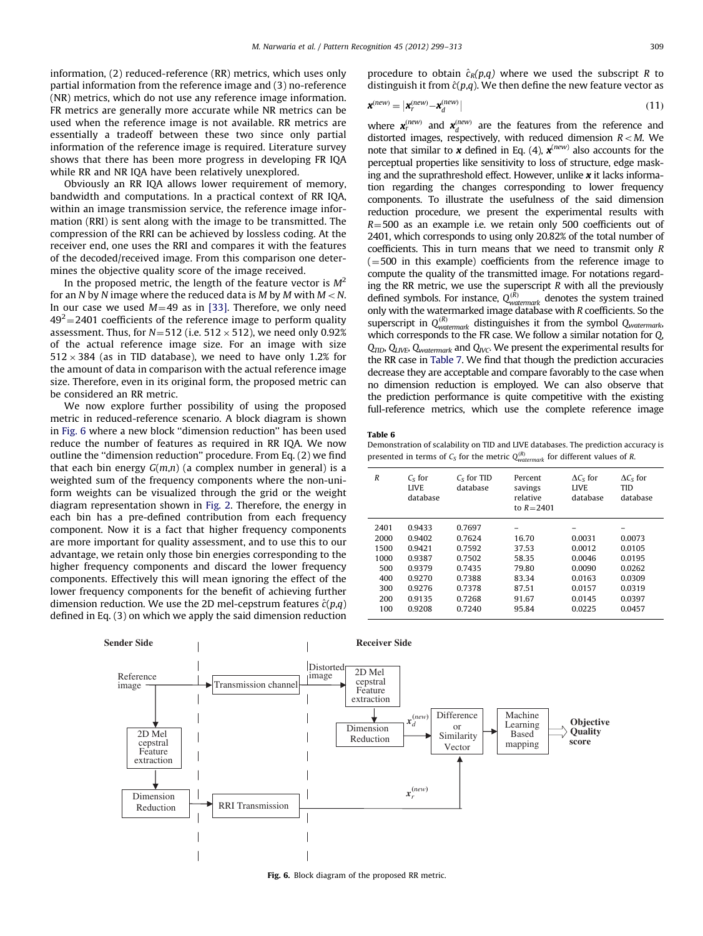information, (2) reduced-reference (RR) metrics, which uses only partial information from the reference image and (3) no-reference (NR) metrics, which do not use any reference image information. FR metrics are generally more accurate while NR metrics can be used when the reference image is not available. RR metrics are essentially a tradeoff between these two since only partial information of the reference image is required. Literature survey shows that there has been more progress in developing FR IQA while RR and NR IQA have been relatively unexplored.

Obviously an RR IQA allows lower requirement of memory, bandwidth and computations. In a practical context of RR IQA, within an image transmission service, the reference image information (RRI) is sent along with the image to be transmitted. The compression of the RRI can be achieved by lossless coding. At the receiver end, one uses the RRI and compares it with the features of the decoded/received image. From this comparison one determines the objective quality score of the image received.

In the proposed metric, the length of the feature vector is  $M^2$ for an *N* by *N* image where the reduced data is *M* by *M* with  $M < N$ . In our case we used  $M=49$  as in [33]. Therefore, we only need  $49^2$  = 2401 coefficients of the reference image to perform quality assessment. Thus, for  $N=512$  (i.e.  $512 \times 512$ ), we need only 0.92% of the actual reference image size. For an image with size  $512 \times 384$  (as in TID database), we need to have only 1.2% for the amount of data in comparison with the actual reference image size. Therefore, even in its original form, the proposed metric can be considered an RR metric.

We now explore further possibility of using the proposed metric in reduced-reference scenario. A block diagram is shown in Fig. 6 where a new block ''dimension reduction'' has been used reduce the number of features as required in RR IQA. We now outline the ''dimension reduction'' procedure. From Eq. (2) we find that each bin energy *G*(*m*,*n*) (a complex number in general) is a weighted sum of the frequency components where the non-uniform weights can be visualized through the grid or the weight diagram representation shown in Fig. 2. Therefore, the energy in each bin has a pre-defined contribution from each frequency component. Now it is a fact that higher frequency components are more important for quality assessment, and to use this to our advantage, we retain only those bin energies corresponding to the higher frequency components and discard the lower frequency components. Effectively this will mean ignoring the effect of the lower frequency components for the benefit of achieving further dimension reduction. We use the 2D mel-cepstrum features *c*^(*p*,*q*) defined in Eq. (3) on which we apply the said dimension reduction procedure to obtain  $\hat{c}_R(p,q)$  where we used the subscript *R* to distinguish it from  $\hat{c}(p,q)$ . We then define the new feature vector as

$$
\mathbf{x}^{(new)} = |\mathbf{x}_r^{(new)} - \mathbf{x}_d^{(new)}|
$$
 (11)

where  $\mathbf{x}_r^{(new)}$  and  $\mathbf{x}_d^{(new)}$  are the features from the reference and distorted images, respectively, with reduced dimension  $R < M$ . We note that similar to **x** defined in Eq. (4),  $\mathbf{x}^{(new)}$  also accounts for the perceptual properties like sensitivity to loss of structure, edge masking and the suprathreshold effect. However, unlike  $x$  it lacks information regarding the changes corresponding to lower frequency components. To illustrate the usefulness of the said dimension reduction procedure, we present the experimental results with  $R = 500$  as an example i.e. we retain only 500 coefficients out of 2401, which corresponds to using only 20.82% of the total number of coefficients. This in turn means that we need to transmit only *R*  $(=500$  in this example) coefficients from the reference image to compute the quality of the transmitted image. For notations regarding the RR metric, we use the superscript *R* with all the previously defined symbols. For instance,  $Q_{\text{watermark}}^{(R)}$  denotes the system trained only with the watermarked image database with *R* coefficients. So the superscript in  $Q_{\text{watermark}}^{(R)}$  distinguishes it from the symbol  $Q_{\text{watermark}}$ , which corresponds to the FR case. We follow a similar notation for *Q*, *QTID*, *QLIVE*, *Qwatermark* and *QIVC*. We present the experimental results for the RR case in Table 7. We find that though the prediction accuracies decrease they are acceptable and compare favorably to the case when no dimension reduction is employed. We can also observe that the prediction performance is quite competitive with the existing full-reference metrics, which use the complete reference image

#### Table 6

Demonstration of scalability on TID and LIVE databases. The prediction accuracy is presented in terms of  $C_S$  for the metric  $Q_{watermark}^{(R)}$  for different values of *R*.

| R            | $C_{S}$ for<br><b>LIVE</b><br>database | $C_S$ for TID<br>database | Percent<br>savings<br>relative<br>to $R = 2401$ | $\Delta C_{S}$ for<br><b>LIVE</b><br>database | $\Delta C_{S}$ for<br>TID<br>database |
|--------------|----------------------------------------|---------------------------|-------------------------------------------------|-----------------------------------------------|---------------------------------------|
| 2401<br>2000 | 0.9433<br>0.9402                       | 0.7697<br>0.7624          | 16.70                                           | 0.0031                                        | 0.0073                                |
| 1500         | 0.9421                                 | 0.7592                    | 37.53                                           | 0.0012                                        | 0.0105                                |
| 1000         | 0.9387                                 | 0.7502                    | 58.35                                           | 0.0046                                        | 0.0195                                |
| 500          | 0.9379                                 | 0.7435                    | 79.80                                           | 0.0090                                        | 0.0262                                |
| 400          | 0.9270                                 | 0.7388                    | 83.34                                           | 0.0163                                        | 0.0309                                |
| 300          | 0.9276                                 | 0.7378                    | 87.51                                           | 0.0157                                        | 0.0319                                |
| 200          | 0.9135                                 | 0.7268                    | 91.67                                           | 0.0145                                        | 0.0397                                |
| 100          | 0.9208                                 | 0.7240                    | 95.84                                           | 0.0225                                        | 0.0457                                |



Fig. 6. Block diagram of the proposed RR metric.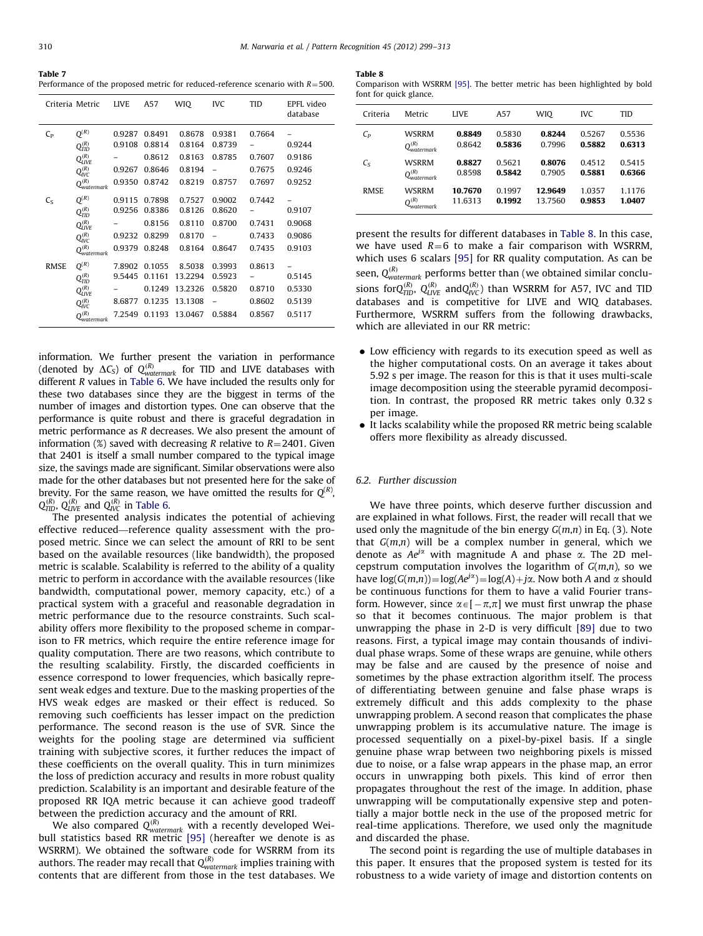Table 7 Performance of the proposed metric for reduced-reference scenario with  $R = 500$ .

|             | Criteria Metric LIVE   |        | A57    | WIO.    | <b>IVC</b> | TID    | EPFL video<br>database |
|-------------|------------------------|--------|--------|---------|------------|--------|------------------------|
| $C_{P}$     | $O^{(R)}$              | 0.9287 | 0.8491 | 0.8678  | 0.9381     | 0.7664 |                        |
|             | $Q_{TID}^{(R)}$        | 0.9108 | 0.8814 | 0.8164  | 0.8739     |        | 0.9244                 |
|             | $Q^{(R)}_{LIVE}$       |        | 0.8612 | 0.8163  | 0.8785     | 0.7607 | 0.9186                 |
|             | $Q_{IVC}^{(R)}$        | 0.9267 | 0.8646 | 0.8194  |            | 0.7675 | 0.9246                 |
|             | $Q_{watermark}^{(R)}$  | 0.9350 | 0.8742 | 0.8219  | 0.8757     | 0.7697 | 0.9252                 |
| $C_{S}$     | $O^{(R)}$              | 0.9115 | 0.7898 | 0.7527  | 0.9002     | 0.7442 |                        |
|             | $Q_{TID}^{(R)}$        | 0.9256 | 0.8386 | 0.8126  | 0.8620     |        | 0.9107                 |
|             | $Q^{(R)}_{LIVE}$       |        | 0.8156 | 0.8110  | 0.8700     | 0.7431 | 0.9068                 |
|             | $Q_{IVC}^{(R)}$        | 0.9232 | 0.8299 | 0.8170  |            | 0.7433 | 0.9086                 |
|             | $Q_{watermark}^{(R)}$  | 0.9379 | 0.8248 | 0.8164  | 0.8647     | 0.7435 | 0.9103                 |
| <b>RMSE</b> | $O^{(R)}$              | 7.8902 | 0.1055 | 8.5038  | 0.3993     | 0.8613 |                        |
|             | $Q_{TID}^{(R)}$        | 9.5445 | 0.1161 | 13.2294 | 0.5923     |        | 0.5145                 |
|             | $Q^{(R)}_{LIVE}$       |        | 0.1249 | 13.2326 | 0.5820     | 0.8710 | 0.5330                 |
|             | $Q_{IVC}^{(R)}$        | 8.6877 | 0.1235 | 13.1308 |            | 0.8602 | 0.5139                 |
|             | $2^{(R)}$<br>watermark | 7.2549 | 0.1193 | 13.0467 | 0.5884     | 0.8567 | 0.5117                 |

information. We further present the variation in performance (denoted by  $\Delta C_S$ ) of  $Q_{watermark}^{(R)}$  for TID and LIVE databases with different *R* values in Table 6. We have included the results only for these two databases since they are the biggest in terms of the number of images and distortion types. One can observe that the performance is quite robust and there is graceful degradation in metric performance as *R* decreases. We also present the amount of information  $(\%)$  saved with decreasing *R* relative to  $R = 2401$ . Given that 2401 is itself a small number compared to the typical image size, the savings made are significant. Similar observations were also made for the other databases but not presented here for the sake of brevity. For the same reason, we have omitted the results for  $Q^{(R)}$ ,  $Q^{(R)}_{\text{TID}}$ ,  $Q^{(R)}_{\text{LVE}}$  and  $Q^{(R)}_{\text{IVC}}$  in Table 6.

The presented analysis indicates the potential of achieving effective reduced—reference quality assessment with the proposed metric. Since we can select the amount of RRI to be sent based on the available resources (like bandwidth), the proposed metric is scalable. Scalability is referred to the ability of a quality metric to perform in accordance with the available resources (like bandwidth, computational power, memory capacity, etc.) of a practical system with a graceful and reasonable degradation in metric performance due to the resource constraints. Such scalability offers more flexibility to the proposed scheme in comparison to FR metrics, which require the entire reference image for quality computation. There are two reasons, which contribute to the resulting scalability. Firstly, the discarded coefficients in essence correspond to lower frequencies, which basically represent weak edges and texture. Due to the masking properties of the HVS weak edges are masked or their effect is reduced. So removing such coefficients has lesser impact on the prediction performance. The second reason is the use of SVR. Since the weights for the pooling stage are determined via sufficient training with subjective scores, it further reduces the impact of these coefficients on the overall quality. This in turn minimizes the loss of prediction accuracy and results in more robust quality prediction. Scalability is an important and desirable feature of the proposed RR IQA metric because it can achieve good tradeoff between the prediction accuracy and the amount of RRI.

We also compared  $Q^{(R)}_{watermark}$  with a recently developed Weibull statistics based RR metric [95] (hereafter we denote is as WSRRM). We obtained the software code for WSRRM from its authors. The reader may recall that  $Q_{watermark}^{(R)}$  implies training with contents that are different from those in the test databases. We

#### Table 8

Comparison with WSRRM [95]. The better metric has been highlighted by bold font for quick glance.

| Criteria    | Metric                | LIVE.   | A57    | <b>WIO</b> | <b>IVC</b> | <b>TID</b> |
|-------------|-----------------------|---------|--------|------------|------------|------------|
| $C_P$       | WSRRM                 | 0.8849  | 0.5830 | 0.8244     | 0.5267     | 0.5536     |
|             | $Q^{(R)}_{watermark}$ | 0.8642  | 0.5836 | 0.7996     | 0.5882     | 0.6313     |
| $C_{S}$     | <b>WSRRM</b>          | 0.8827  | 0.5621 | 0.8076     | 0.4512     | 0.5415     |
|             | $Q_{watermark}^{(R)}$ | 0.8598  | 0.5842 | 0.7905     | 0.5881     | 0.6366     |
| <b>RMSE</b> | <b>WSRRM</b>          | 10.7670 | 0.1997 | 12.9649    | 1.0357     | 1.1176     |
|             | $O^{(R)}$             | 11.6313 | 0.1992 | 13.7560    | 0.9853     | 1.0407     |

present the results for different databases in Table 8. In this case, we have used  $R=6$  to make a fair comparison with WSRRM, which uses 6 scalars [95] for RR quality computation. As can be seen,  $Q_{watermark}^{(R)}$  performs better than (we obtained similar conclusions for $Q_{TID}^{(R)}$ ,  $Q_{LIVE}^{(R)}$  and $Q_{IVC}^{(R)}$ ) than WSRRM for A57, IVC and TID databases and is competitive for LIVE and WIQ databases. Furthermore, WSRRM suffers from the following drawbacks, which are alleviated in our RR metric:

- Low efficiency with regards to its execution speed as well as the higher computational costs. On an average it takes about 5.92 s per image. The reason for this is that it uses multi-scale image decomposition using the steerable pyramid decomposition. In contrast, the proposed RR metric takes only 0.32 s per image.
- It lacks scalability while the proposed RR metric being scalable offers more flexibility as already discussed.

## *6.2. Further discussion*

We have three points, which deserve further discussion and are explained in what follows. First, the reader will recall that we used only the magnitude of the bin energy *G*(*m*,*n*) in Eq. (3). Note that *G*(*m*,*n*) will be a complex number in general, which we denote as  $Ae^{j\alpha}$  with magnitude A and phase  $\alpha$ . The 2D melcepstrum computation involves the logarithm of *G*(*m*,*n*), so we have  $log(G(m,n)) = log(Ae^{j\alpha}) = log(A) + j\alpha$ . Now both *A* and  $\alpha$  should be continuous functions for them to have a valid Fourier transform. However, since  $\alpha \in [-\pi,\pi]$  we must first unwrap the phase so that it becomes continuous. The major problem is that unwrapping the phase in 2-D is very difficult [89] due to two reasons. First, a typical image may contain thousands of individual phase wraps. Some of these wraps are genuine, while others may be false and are caused by the presence of noise and sometimes by the phase extraction algorithm itself. The process of differentiating between genuine and false phase wraps is extremely difficult and this adds complexity to the phase unwrapping problem. A second reason that complicates the phase unwrapping problem is its accumulative nature. The image is processed sequentially on a pixel-by-pixel basis. If a single genuine phase wrap between two neighboring pixels is missed due to noise, or a false wrap appears in the phase map, an error occurs in unwrapping both pixels. This kind of error then propagates throughout the rest of the image. In addition, phase unwrapping will be computationally expensive step and potentially a major bottle neck in the use of the proposed metric for real-time applications. Therefore, we used only the magnitude and discarded the phase.

The second point is regarding the use of multiple databases in this paper. It ensures that the proposed system is tested for its robustness to a wide variety of image and distortion contents on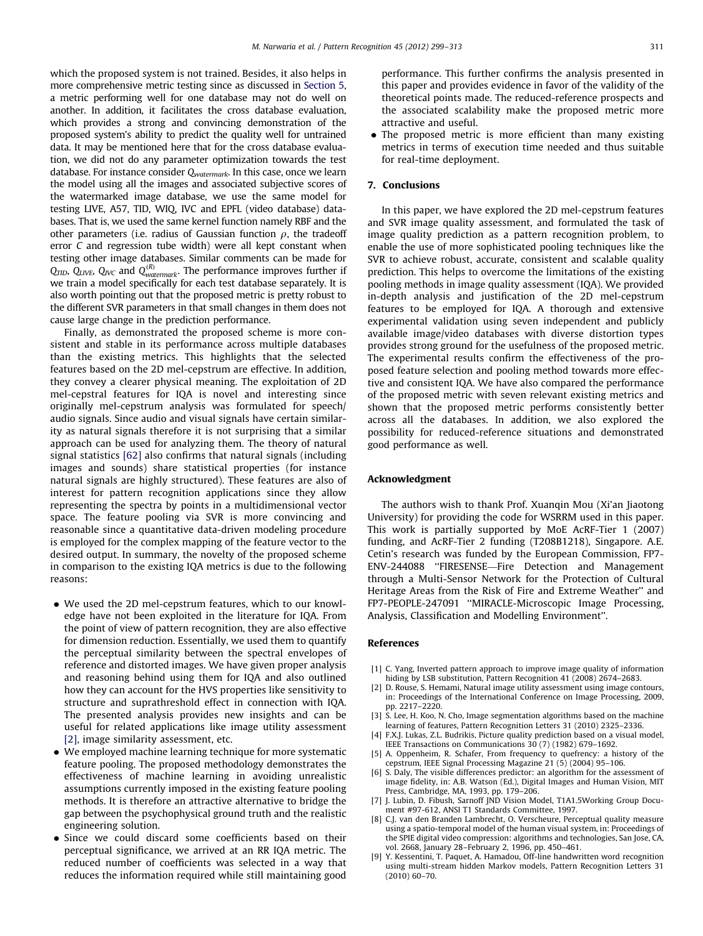which the proposed system is not trained. Besides, it also helps in more comprehensive metric testing since as discussed in Section 5, a metric performing well for one database may not do well on another. In addition, it facilitates the cross database evaluation, which provides a strong and convincing demonstration of the proposed system's ability to predict the quality well for untrained data. It may be mentioned here that for the cross database evaluation, we did not do any parameter optimization towards the test database. For instance consider *Qwatermark*. In this case, once we learn the model using all the images and associated subjective scores of the watermarked image database, we use the same model for testing LIVE, A57, TID, WIQ, IVC and EPFL (video database) databases. That is, we used the same kernel function namely RBF and the other parameters (i.e. radius of Gaussian function  $\rho$ , the tradeoff error *C* and regression tube width) were all kept constant when testing other image databases. Similar comments can be made for  $Q_{TID}$ ,  $Q_{LVE}$ ,  $Q_{IVC}$  and  $Q_{watermark}^{(R)}$ . The performance improves further if we train a model specifically for each test database separately. It is also worth pointing out that the proposed metric is pretty robust to the different SVR parameters in that small changes in them does not cause large change in the prediction performance.

Finally, as demonstrated the proposed scheme is more consistent and stable in its performance across multiple databases than the existing metrics. This highlights that the selected features based on the 2D mel-cepstrum are effective. In addition, they convey a clearer physical meaning. The exploitation of 2D mel-cepstral features for IQA is novel and interesting since originally mel-cepstrum analysis was formulated for speech/ audio signals. Since audio and visual signals have certain similarity as natural signals therefore it is not surprising that a similar approach can be used for analyzing them. The theory of natural signal statistics [62] also confirms that natural signals (including images and sounds) share statistical properties (for instance natural signals are highly structured). These features are also of interest for pattern recognition applications since they allow representing the spectra by points in a multidimensional vector space. The feature pooling via SVR is more convincing and reasonable since a quantitative data-driven modeling procedure is employed for the complex mapping of the feature vector to the desired output. In summary, the novelty of the proposed scheme in comparison to the existing IQA metrics is due to the following reasons:

- We used the 2D mel-cepstrum features, which to our knowledge have not been exploited in the literature for IQA. From the point of view of pattern recognition, they are also effective for dimension reduction. Essentially, we used them to quantify the perceptual similarity between the spectral envelopes of reference and distorted images. We have given proper analysis and reasoning behind using them for IQA and also outlined how they can account for the HVS properties like sensitivity to structure and suprathreshold effect in connection with IQA. The presented analysis provides new insights and can be useful for related applications like image utility assessment [2], image similarity assessment, etc.
- We employed machine learning technique for more systematic feature pooling. The proposed methodology demonstrates the effectiveness of machine learning in avoiding unrealistic assumptions currently imposed in the existing feature pooling methods. It is therefore an attractive alternative to bridge the gap between the psychophysical ground truth and the realistic engineering solution.
- Since we could discard some coefficients based on their perceptual significance, we arrived at an RR IQA metric. The reduced number of coefficients was selected in a way that reduces the information required while still maintaining good

performance. This further confirms the analysis presented in this paper and provides evidence in favor of the validity of the theoretical points made. The reduced-reference prospects and the associated scalability make the proposed metric more attractive and useful.

 The proposed metric is more efficient than many existing metrics in terms of execution time needed and thus suitable for real-time deployment.

## 7. Conclusions

In this paper, we have explored the 2D mel-cepstrum features and SVR image quality assessment, and formulated the task of image quality prediction as a pattern recognition problem, to enable the use of more sophisticated pooling techniques like the SVR to achieve robust, accurate, consistent and scalable quality prediction. This helps to overcome the limitations of the existing pooling methods in image quality assessment (IQA). We provided in-depth analysis and justification of the 2D mel-cepstrum features to be employed for IQA. A thorough and extensive experimental validation using seven independent and publicly available image/video databases with diverse distortion types provides strong ground for the usefulness of the proposed metric. The experimental results confirm the effectiveness of the proposed feature selection and pooling method towards more effective and consistent IQA. We have also compared the performance of the proposed metric with seven relevant existing metrics and shown that the proposed metric performs consistently better across all the databases. In addition, we also explored the possibility for reduced-reference situations and demonstrated good performance as well.

#### Acknowledgment

The authors wish to thank Prof. Xuanqin Mou (Xi'an Jiaotong University) for providing the code for WSRRM used in this paper. This work is partially supported by MoE AcRF-Tier 1 (2007) funding, and AcRF-Tier 2 funding (T208B1218), Singapore. A.E. Cetin's research was funded by the European Commission, FP7- ENV-244088 ''FIRESENSE—Fire Detection and Management through a Multi-Sensor Network for the Protection of Cultural Heritage Areas from the Risk of Fire and Extreme Weather'' and FP7-PEOPLE-247091 ''MIRACLE-Microscopic Image Processing, Analysis, Classification and Modelling Environment''.

## References

- [1] C. Yang, Inverted pattern approach to improve image quality of information hiding by LSB substitution, Pattern Recognition 41 (2008) 2674–2683.
- [2] D. Rouse, S. Hemami, Natural image utility assessment using image contours, in: Proceedings of the International Conference on Image Processing, 2009, pp. 2217–2220.
- [3] S. Lee, H. Koo, N. Cho, Image segmentation algorithms based on the machine learning of features, Pattern Recognition Letters 31 (2010) 2325–2336.
- F.X.J. Lukas, Z.L. Budrikis, Picture quality prediction based on a visual model, IEEE Transactions on Communications 30 (7) (1982) 679–1692.
- A. Oppenheim, R. Schafer, From frequency to quefrency: a history of the cepstrum, IEEE Signal Processing Magazine 21 (5) (2004) 95–106.
- [6] S. Daly, The visible differences predictor: an algorithm for the assessment of image fidelity, in: A.B. Watson (Ed.), Digital Images and Human Vision, MIT Press, Cambridge, MA, 1993, pp. 179–206.
- [7] J. Lubin, D. Fibush, Sarnoff JND Vision Model, T1A1.5Working Group Document #97-612, ANSI T1 Standards Committee, 1997.
- [8] C.J. van den Branden Lambrecht, O. Verscheure, Perceptual quality measure using a spatio-temporal model of the human visual system, in: Proceedings of the SPIE digital video compression: algorithms and technologies, San Jose, CA, vol. 2668, January 28–February 2, 1996, pp. 450–461.
- [9] Y. Kessentini, T. Paquet, A. Hamadou, Off-line handwritten word recognition using multi-stream hidden Markov models, Pattern Recognition Letters 31 (2010) 60–70.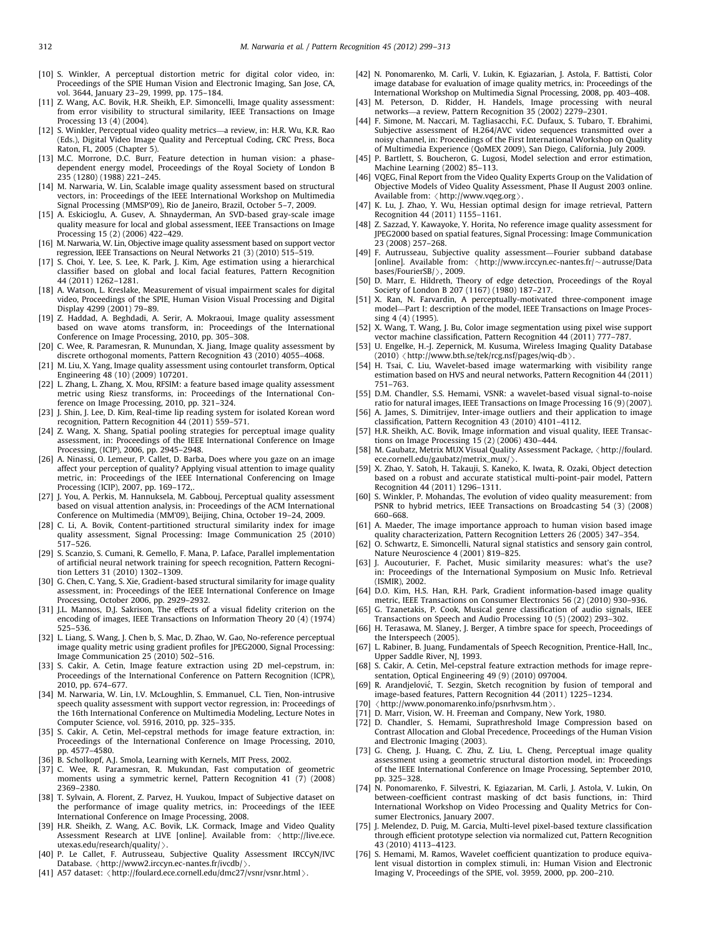- [10] S. Winkler, A perceptual distortion metric for digital color video, in: Proceedings of the SPIE Human Vision and Electronic Imaging, San Jose, CA, vol. 3644, January 23–29, 1999, pp. 175–184.
- [11] Z. Wang, A.C. Bovik, H.R. Sheikh, E.P. Simoncelli, Image quality assessment: from error visibility to structural similarity, IEEE Transactions on Image Processing 13 (4) (2004).
- [12] S. Winkler, Perceptual video quality metrics—a review, in: H.R. Wu, K.R. Rao (Eds.), Digital Video Image Quality and Perceptual Coding, CRC Press, Boca Raton, FL, 2005 (Chapter 5).
- [13] M.C. Morrone, D.C. Burr, Feature detection in human vision: a phasedependent energy model, Proceedings of the Royal Society of London B 235 (1280) (1988) 221–245.
- [14] M. Narwaria, W. Lin, Scalable image quality assessment based on structural vectors, in: Proceedings of the IEEE International Workshop on Multimedia Signal Processing (MMSP'09), Rio de Janeiro, Brazil, October 5–7, 2009.
- [15] A. Eskicioglu, A. Gusev, A. Shnayderman, An SVD-based gray-scale image quality measure for local and global assessment, IEEE Transactions on Image Processing 15 (2) (2006) 422–429.
- [16] M. Narwaria, W. Lin, Objective image quality assessment based on support vector regression, IEEE Transactions on Neural Networks 21 (3) (2010) 515–519.
- [17] S. Choi, Y. Lee, S. Lee, K. Park, J. Kim, Age estimation using a hierarchical classifier based on global and local facial features, Pattern Recognition 44 (2011) 1262–1281.
- [18] A. Watson, L. Kreslake, Measurement of visual impairment scales for digital video, Proceedings of the SPIE, Human Vision Visual Processing and Digital Display 4299 (2001) 79–89.
- [19] Z. Haddad, A. Beghdadi, A. Serir, A. Mokraoui, Image quality assessment based on wave atoms transform, in: Proceedings of the International Conference on Image Processing, 2010, pp. 305–308.
- [20] C. Wee, R. Paramesran, R. Munundan, X. Jiang, Image quality assessment by discrete orthogonal moments, Pattern Recognition 43 (2010) 4055–4068.
- [21] M. Liu, X. Yang, Image quality assessment using contourlet transform, Optical Engineering 48 (10) (2009) 107201.
- [22] L. Zhang, L. Zhang, X. Mou, RFSIM: a feature based image quality assessment metric using Riesz transforms, in: Proceedings of the International Conference on Image Processing, 2010, pp. 321–324.
- [23] J. Shin, J. Lee, D. Kim, Real-time lip reading system for isolated Korean word recognition, Pattern Recognition 44 (2011) 559–571.
- [24] Z. Wang, X. Shang, Spatial pooling strategies for perceptual image quality assessment, in: Proceedings of the IEEE International Conference on Image Processing, (ICIP), 2006, pp. 2945–2948. [26] A. Ninassi, O. Lemeur, P. Callet, D. Barba, Does where you gaze on an image
- affect your perception of quality? Applying visual attention to image quality metric, in: Proceedings of the IEEE International Conferencing on Image
- Processing (ICIP), 2007, pp. 169–172,. [27] J. You, A. Perkis, M. Hannuksela, M. Gabbouj, Perceptual quality assessment based on visual attention analysis, in: Proceedings of the ACM International Conference on Multimedia (MM'09), Beijing, China, October 19–24, 2009.
- [28] C. Li, A. Bovik, Content-partitioned structural similarity index for image quality assessment, Signal Processing: Image Communication 25 (2010) 517–526.
- [29] S. Scanzio, S. Cumani, R. Gemello, F. Mana, P. Laface, Parallel implementation of artificial neural network training for speech recognition, Pattern Recognition Letters 31 (2010) 1302–1309.
- [30] G. Chen, C. Yang, S. Xie, Gradient-based structural similarity for image quality assessment, in: Proceedings of the IEEE International Conference on Image Processing, October 2006, pp. 2929–2932.
- [31] J.L. Mannos, D.J. Sakrison, The effects of a visual fidelity criterion on the encoding of images, IEEE Transactions on Information Theory 20 (4) (1974) 525–536.
- [32] L. Liang, S. Wang, J. Chen b, S. Mac, D. Zhao, W. Gao, No-reference perceptual image quality metric using gradient profiles for JPEG2000, Signal Processing: Image Communication 25 (2010) 502–516.
- [33] S. Cakir, A. Cetin, Image feature extraction using 2D mel-cepstrum, in: Proceedings of the International Conference on Pattern Recognition (ICPR), 2010, pp. 674–677.
- [34] M. Narwaria, W. Lin, I.V. McLoughlin, S. Emmanuel, C.L. Tien, Non-intrusive speech quality assessment with support vector regression, in: Proceedings of the 16th International Conference on Multimedia Modeling, Lecture Notes in Computer Science, vol. 5916, 2010, pp. 325–335.
- [35] S. Cakir, A. Cetin, Mel-cepstral methods for image feature extraction, in: Proceedings of the International Conference on Image Processing, 2010, pp. 4577–4580.
- [36] B. Scholkopf, A.J. Smola, Learning with Kernels, MIT Press, 2002.
- [37] C. Wee, R. Paramesran, R. Mukundan, Fast computation of geometric moments using a symmetric kernel, Pattern Recognition 41 (7) (2008) 2369–2380.
- [38] T. Sylvain, A. Florent, Z. Parvez, H. Yuukou, Impact of Subjective dataset on the performance of image quality metrics, in: Proceedings of the IEEE International Conference on Image Processing, 2008.
- [39] H.R. Sheikh, Z. Wang, A.C. Bovik, L.K. Cormack, Image and Video Quality Assessment Research at LIVE [online]. Available from: <http://live.ece.
- utexas.edu/research/quality/S. [40] P. Le Callet, F. Autrusseau, Subjective Quality Assessment IRCCyN/IVC Database. <http://www2.irccyn.ec-nantes.fr/ivcdb/>.
- [41] A57 dataset:  $\langle$  http://foulard.ece.cornell.edu/dmc27/vsnr/vsnr.html $\rangle$ .
- [42] N. Ponomarenko, M. Carli, V. Lukin, K. Egiazarian, J. Astola, F. Battisti, Color image database for evaluation of image quality metrics, in: Proceedings of the International Workshop on Multimedia Signal Processing, 2008, pp. 403–408.
- [43] M. Peterson, D. Ridder, H. Handels, Image processing with neural networks—a review, Pattern Recognition 35 (2002) 2279–2301.
- [44] F. Simone, M. Naccari, M. Tagliasacchi, F.C. Dufaux, S. Tubaro, T. Ebrahimi, Subjective assessment of H.264/AVC video sequences transmitted over a noisy channel, in: Proceedings of the First International Workshop on Quality of Multimedia Experience (QoMEX 2009), San Diego, California, July 2009.
- [45] P. Bartlett, S. Boucheron, G. Lugosi, Model selection and error estimation, Machine Learning (2002) 85–113.
- [46] VQEG, Final Report from the Video Quality Experts Group on the Validation of Objective Models of Video Quality Assessment, Phase II August 2003 online. Available from: <http://www.vqeg.org>
- [47] K. Lu, J. Zhao, Y. Wu, Hessian optimal design for image retrieval, Pattern Recognition 44 (2011) 1155–1161.
- [48] Z. Sazzad, Y. Kawayoke, Y. Horita, No reference image quality assessment for JPEG2000 based on spatial features, Signal Processing: Image Communication 23 (2008) 257–268.
- [49] F. Autrusseau, Subjective quality assessment—Fourier subband database [online]. Available from:  $\langle$  http://www.irccyn.ec-nantes.fr/ $\sim$ autrusse/Data  $bases/FourierSB/$ , 2009.
- [50] D. Marr, E. Hildreth, Theory of edge detection, Proceedings of the Royal Society of London B 207 (1167) (1980) 187–217.
- [51] X. Ran, N. Farvardin, A perceptually-motivated three-component image model—Part I: description of the model, IEEE Transactions on Image Processing 4 (4) (1995).
- [52] X. Wang, T. Wang, J. Bu, Color image segmentation using pixel wise support vector machine classification, Pattern Recognition 44 (2011) 777–787.
- [53] U. Engelke, H.-J. Zepernick, M. Kusuma, Wireless Imaging Quality Database  $(2010)$   $\langle$  http://www.bth.se/tek/rcg.nsf/pages/wig-db  $\rangle$ .
- [54] H. Tsai, C. Liu, Wavelet-based image watermarking with visibility range estimation based on HVS and neural networks, Pattern Recognition 44 (2011) 751–763.
- [55] D.M. Chandler, S.S. Hemami, VSNR: a wavelet-based visual signal-to-noise ratio for natural images, IEEE Transactions on Image Processing 16 (9) (2007).
- [56] A. James, S. Dimitrijev, Inter-image outliers and their application to image classification, Pattern Recognition 43 (2010) 4101–4112.
- [57] H.R. Sheikh, A.C. Bovik, Image information and visual quality, IEEE Transactions on Image Processing 15 (2) (2006) 430–444.
- [58] M. Gaubatz, Metrix MUX Visual Quality Assessment Package, /http://foulard. ece.cornell.edu/gaubatz/metrix\_mux/S.
- [59] X. Zhao, Y. Satoh, H. Takauji, S. Kaneko, K. Iwata, R. Ozaki, Object detection based on a robust and accurate statistical multi-point-pair model, Pattern Recognition 44 (2011) 1296–1311.
- [60] S. Winkler, P. Mohandas, The evolution of video quality measurement: from PSNR to hybrid metrics, IEEE Transactions on Broadcasting 54 (3) (2008) 660–668.
- [61] A. Maeder, The image importance approach to human vision based image quality characterization, Pattern Recognition Letters 26 (2005) 347–354.
- [62] O. Schwartz, E. Simoncelli, Natural signal statistics and sensory gain control, Nature Neuroscience 4 (2001) 819–825.
- [63] J. Aucouturier, F. Pachet, Music similarity measures: what's the use? in: Proceedings of the International Symposium on Music Info. Retrieval (ISMIR), 2002.
- [64] D.O. Kim, H.S. Han, R.H. Park, Gradient information-based image quality metric, IEEE Transactions on Consumer Electronics 56 (2) (2010) 930–936.
- [65] G. Tzanetakis, P. Cook, Musical genre classification of audio signals, IEEE Transactions on Speech and Audio Processing 10 (5) (2002) 293–302.
- [66] H. Terasawa, M. Slaney, J. Berger, A timbre space for speech, Proceedings of the Interspeech (2005).
- [67] L. Rabiner, B. Juang, Fundamentals of Speech Recognition, Prentice-Hall, Inc., Upper Saddle River, NJ, 1993.
- [68] S. Cakir, A. Cetin, Mel-cepstral feature extraction methods for image representation, Optical Engineering 49 (9) (2010) 097004.
- [69] R. Arandjelović, T. Sezgin, Sketch recognition by fusion of temporal and image-based features, Pattern Recognition 44 (2011) 1225–1234.
- [70]  $\langle$  http://www.ponomarenko.info/psnrhvsm.htm $\rangle$ .
- [71] D. Marr, Vision, W. H. Freeman and Company, New York, 1980.
- [72] D. Chandler, S. Hemami, Suprathreshold Image Compression based on Contrast Allocation and Global Precedence, Proceedings of the Human Vision and Electronic Imaging (2003).
- [73] G. Cheng, J. Huang, C. Zhu, Z. Liu, L. Cheng, Perceptual image quality assessment using a geometric structural distortion model, in: Proceedings of the IEEE International Conference on Image Processing, September 2010, pp. 325–328.
- [74] N. Ponomarenko, F. Silvestri, K. Egiazarian, M. Carli, J. Astola, V. Lukin, On between-coefficient contrast masking of dct basis functions, in: Third International Workshop on Video Processing and Quality Metrics for Consumer Electronics, January 2007.
- [75] J. Melendez, D. Puig, M. Garcia, Multi-level pixel-based texture classification through efficient prototype selection via normalized cut, Pattern Recognition 43 (2010) 4113–4123.
- [76] S. Hemami, M. Ramos, Wavelet coefficient quantization to produce equivalent visual distortion in complex stimuli, in: Human Vision and Electronic Imaging V, Proceedings of the SPIE, vol. 3959, 2000, pp. 200–210.